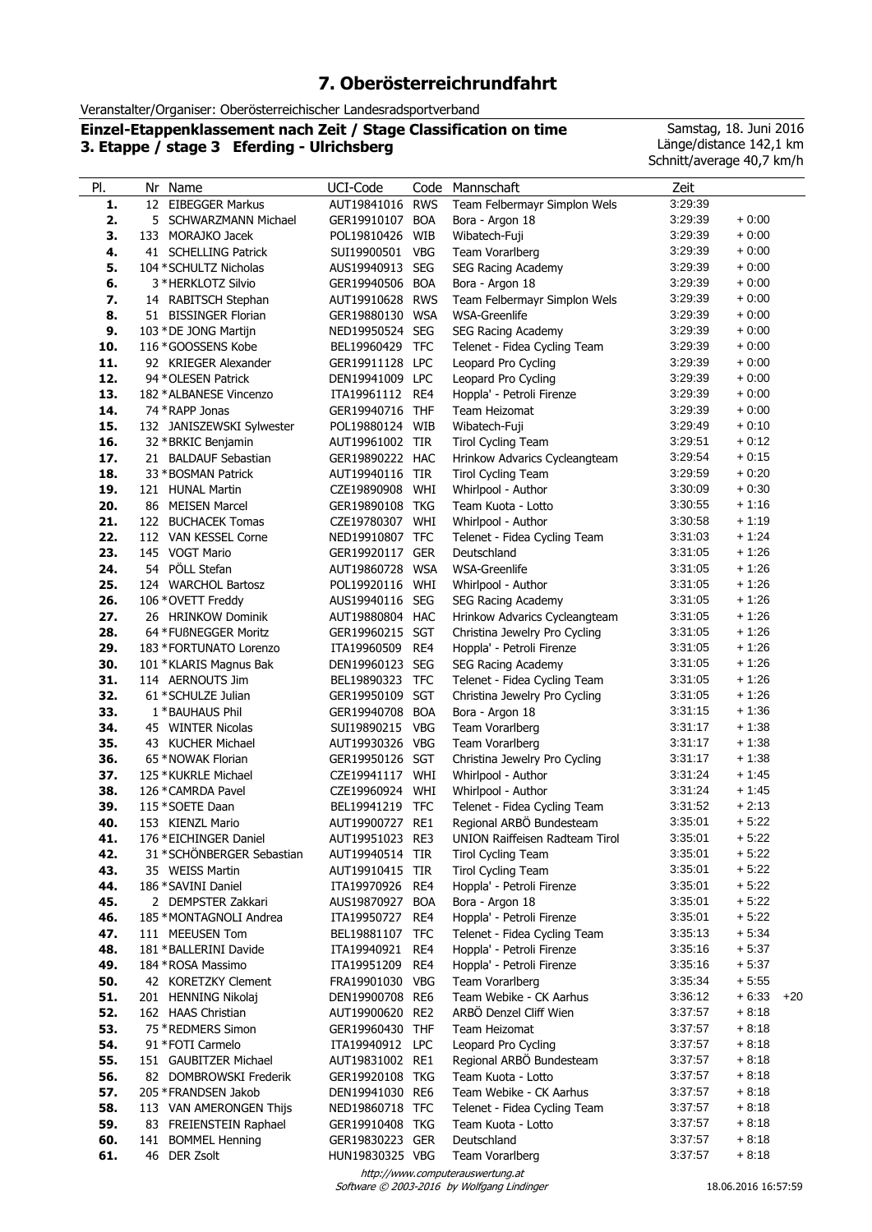# **7. Oberösterreichrundfahrt**

Veranstalter/Organiser: Oberösterreichischer Landesradsportverband

**Einzel-Etappenklassement nach Zeit / Stage Classification on time 3. Etappe / stage 3 Eferding - Ulrichsberg**

Samstag, 18. Juni 2016 Länge/distance 142,1 km Schnitt/average 40,7 km/h

| PI.        | Nr Name                                           | UCI-Code                           | Code       | Mannschaft                                             | Zeit               |                    |
|------------|---------------------------------------------------|------------------------------------|------------|--------------------------------------------------------|--------------------|--------------------|
| 1.         | 12 EIBEGGER Markus                                | AUT19841016 RWS                    |            | Team Felbermayr Simplon Wels                           | 3:29:39            |                    |
| 2.         | 5 SCHWARZMANN Michael                             | GER19910107 BOA                    |            | Bora - Argon 18                                        | 3:29:39            | $+0:00$            |
| 3.         | 133 MORAJKO Jacek                                 | POL19810426                        | WIB        | Wibatech-Fuji                                          | 3:29:39            | $+0:00$            |
| 4.         | 41 SCHELLING Patrick                              | SUI19900501                        | <b>VBG</b> | Team Vorarlberg                                        | 3:29:39            | $+0:00$            |
| 5.         | 104 * SCHULTZ Nicholas                            | AUS19940913                        | <b>SEG</b> | SEG Racing Academy                                     | 3:29:39            | $+0:00$            |
| 6.         | 3 * HERKLOTZ Silvio                               | GER19940506 BOA                    |            | Bora - Argon 18                                        | 3:29:39            | $+0:00$            |
| 7.         | 14 RABITSCH Stephan                               | AUT19910628 RWS                    |            | Team Felbermayr Simplon Wels                           | 3:29:39            | $+0:00$            |
| 8.         | 51 BISSINGER Florian                              | GER19880130 WSA                    |            | WSA-Greenlife                                          | 3:29:39            | $+0:00$            |
| 9.         | 103 * DE JONG Martijn                             | NED19950524 SEG                    |            | SEG Racing Academy                                     | 3:29:39<br>3:29:39 | $+0:00$<br>$+0:00$ |
| 10.<br>11. | 116 * GOOSSENS Kobe                               | BEL19960429<br>GER19911128 LPC     | <b>TFC</b> | Telenet - Fidea Cycling Team<br>Leopard Pro Cycling    | 3:29:39            | $+0:00$            |
| 12.        | 92 KRIEGER Alexander<br>94 * OLESEN Patrick       | DEN19941009 LPC                    |            | Leopard Pro Cycling                                    | 3:29:39            | $+0.00$            |
| 13.        | 182 * ALBANESE Vincenzo                           | ITA19961112                        | RE4        | Hoppla' - Petroli Firenze                              | 3:29:39            | $+0:00$            |
| 14.        | 74 * RAPP Jonas                                   | GER19940716                        | <b>THF</b> | Team Heizomat                                          | 3:29:39            | $+0:00$            |
| 15.        | 132 JANISZEWSKI Sylwester                         | POL19880124 WIB                    |            | Wibatech-Fuji                                          | 3:29:49            | $+0:10$            |
| 16.        | 32 * BRKIC Benjamin                               | AUT19961002 TIR                    |            | Tirol Cycling Team                                     | 3:29:51            | $+0:12$            |
| 17.        | 21 BALDAUF Sebastian                              | GER19890222 HAC                    |            | Hrinkow Advarics Cycleangteam                          | 3:29:54            | $+0:15$            |
| 18.        | 33 * BOSMAN Patrick                               | AUT19940116                        | TIR        | Tirol Cycling Team                                     | 3:29:59            | $+0.20$            |
| 19.        | 121 HUNAL Martin                                  | CZE19890908                        | WHI        | Whirlpool - Author                                     | 3:30:09            | $+0:30$            |
| 20.        | 86 MEISEN Marcel                                  | GER19890108                        | <b>TKG</b> | Team Kuota - Lotto                                     | 3:30:55            | $+1:16$            |
| 21.        | 122 BUCHACEK Tomas                                | CZE19780307 WHI                    |            | Whirlpool - Author                                     | 3:30:58            | $+1:19$            |
| 22.        | 112 VAN KESSEL Corne                              | NED19910807 TFC                    |            | Telenet - Fidea Cycling Team                           | 3:31:03            | $+1:24$            |
| 23.        | 145 VOGT Mario                                    | GER19920117 GER                    |            | Deutschland                                            | 3:31:05            | $+1:26$            |
| 24.        | 54 PÖLL Stefan                                    | AUT19860728                        | <b>WSA</b> | <b>WSA-Greenlife</b>                                   | 3:31:05            | $+1:26$            |
| 25.        | 124 WARCHOL Bartosz                               | POL19920116                        | WHI        | Whirlpool - Author                                     | 3:31:05            | $+1:26$            |
| 26.        | 106 * OVETT Freddy                                | AUS19940116 SEG                    |            | SEG Racing Academy                                     | 3:31:05            | $+1:26$            |
| 27.        | 26 HRINKOW Dominik                                | AUT19880804 HAC                    |            | Hrinkow Advarics Cycleangteam                          | 3:31:05            | $+1:26$            |
| 28.        | 64 * FUßNEGGER Moritz                             | GER19960215 SGT                    |            | Christina Jewelry Pro Cycling                          | 3:31:05<br>3:31:05 | $+1:26$<br>$+1:26$ |
| 29.<br>30. | 183 * FORTUNATO Lorenzo<br>101 *KLARIS Magnus Bak | ITA19960509<br>DEN19960123 SEG     | RE4        | Hoppla' - Petroli Firenze<br><b>SEG Racing Academy</b> | 3:31:05            | $+1:26$            |
| 31.        | 114 AERNOUTS Jim                                  | BEL19890323                        | <b>TFC</b> | Telenet - Fidea Cycling Team                           | 3:31:05            | $+1:26$            |
| 32.        | 61 * SCHULZE Julian                               | GER19950109 SGT                    |            | Christina Jewelry Pro Cycling                          | 3:31:05            | $+1:26$            |
| 33.        | 1 * BAUHAUS Phil                                  | GER19940708                        | <b>BOA</b> | Bora - Argon 18                                        | 3:31:15            | $+1:36$            |
| 34.        | 45 WINTER Nicolas                                 | SUI19890215                        | <b>VBG</b> | Team Vorarlberg                                        | 3:31:17            | $+1:38$            |
| 35.        | 43 KUCHER Michael                                 | AUT19930326 VBG                    |            | Team Vorarlberg                                        | 3:31:17            | $+1:38$            |
| 36.        | 65 * NOWAK Florian                                | GER19950126 SGT                    |            | Christina Jewelry Pro Cycling                          | 3:31:17            | $+1:38$            |
| 37.        | 125 * KUKRLE Michael                              | CZE19941117 WHI                    |            | Whirlpool - Author                                     | 3:31:24            | $+1:45$            |
| 38.        | 126 * CAMRDA Pavel                                | CZE19960924                        | WHI        | Whirlpool - Author                                     | 3:31:24            | $+1:45$            |
| 39.        | 115 * SOETE Daan                                  | BEL19941219                        | <b>TFC</b> | Telenet - Fidea Cycling Team                           | 3:31:52            | $+2:13$            |
| 40.        | 153 KIENZL Mario                                  | AUT19900727 RE1                    |            | Regional ARBÖ Bundesteam                               | 3:35:01            | $+5:22$            |
| 41.        | 176 * EICHINGER Daniel                            | AUT19951023 RE3                    |            | UNION Raiffeisen Radteam Tirol                         | 3:35:01            | $+5:22$            |
| 42.        | 31 * SCHÖNBERGER Sebastian                        | AUT19940514 TIR                    |            | <b>Tirol Cycling Team</b>                              | 3:35:01            | $+5:22$<br>$+5:22$ |
| 43.<br>44. | 35 WEISS Martin<br>186 * SAVINI Daniel            | AUT19910415 TIR<br>ITA19970926 RE4 |            | <b>Tirol Cycling Team</b><br>Hoppla' - Petroli Firenze | 3:35:01<br>3:35:01 | $+5:22$            |
| 45.        | 2 DEMPSTER Zakkari                                | AUS19870927 BOA                    |            | Bora - Argon 18                                        | 3:35:01            | $+5:22$            |
| 46.        | 185 * MONTAGNOLI Andrea                           | ITA19950727                        | RE4        | Hoppla' - Petroli Firenze                              | 3:35:01            | $+5:22$            |
| 47.        | 111 MEEUSEN Tom                                   | BEL19881107 TFC                    |            | Telenet - Fidea Cycling Team                           | 3:35:13            | $+5:34$            |
| 48.        | 181 * BALLERINI Davide                            | ITA19940921 RE4                    |            | Hoppla' - Petroli Firenze                              | 3:35:16            | $+5:37$            |
| 49.        | 184 * ROSA Massimo                                | ITA19951209                        | RE4        | Hoppla' - Petroli Firenze                              | 3:35:16            | $+5:37$            |
| 50.        | 42 KORETZKY Clement                               | FRA19901030 VBG                    |            | Team Vorarlberg                                        | 3:35:34            | $+5:55$            |
| 51.        | 201 HENNING Nikolaj                               | DEN19900708 RE6                    |            | Team Webike - CK Aarhus                                | 3:36:12            | $+6:33$<br>$+20$   |
| 52.        | 162 HAAS Christian                                | AUT19900620 RE2                    |            | ARBÖ Denzel Cliff Wien                                 | 3:37:57            | $+8:18$            |
| 53.        | 75 * REDMERS Simon                                | GER19960430 THF                    |            | Team Heizomat                                          | 3:37:57            | $+8:18$            |
| 54.        | 91 * FOTI Carmelo                                 | ITA19940912 LPC                    |            | Leopard Pro Cycling                                    | 3:37:57            | $+8:18$            |
| 55.        | 151 GAUBITZER Michael                             | AUT19831002 RE1                    |            | Regional ARBO Bundesteam                               | 3:37:57            | $+8:18$            |
| 56.        | 82 DOMBROWSKI Frederik                            | GER19920108 TKG                    |            | Team Kuota - Lotto                                     | 3:37:57            | $+8:18$            |
| 57.        | 205 * FRANDSEN Jakob                              | DEN19941030 RE6                    |            | Team Webike - CK Aarhus                                | 3:37:57            | $+8:18$<br>$+8:18$ |
| 58.<br>59. | 113 VAN AMERONGEN Thijs<br>83 FREIENSTEIN Raphael | NED19860718 TFC<br>GER19910408 TKG |            | Telenet - Fidea Cycling Team<br>Team Kuota - Lotto     | 3:37:57<br>3:37:57 | $+8:18$            |
| 60.        | 141 BOMMEL Henning                                | GER19830223 GER                    |            | Deutschland                                            | 3:37:57            | $+8:18$            |
| 61.        | 46 DER Zsolt                                      | HUN19830325 VBG                    |            | Team Vorarlberg                                        | 3:37:57            | $+8:18$            |
|            |                                                   |                                    |            | http://www.computerauswertung.at                       |                    |                    |

Software © 2003-2016 by Wolfgang Lindinger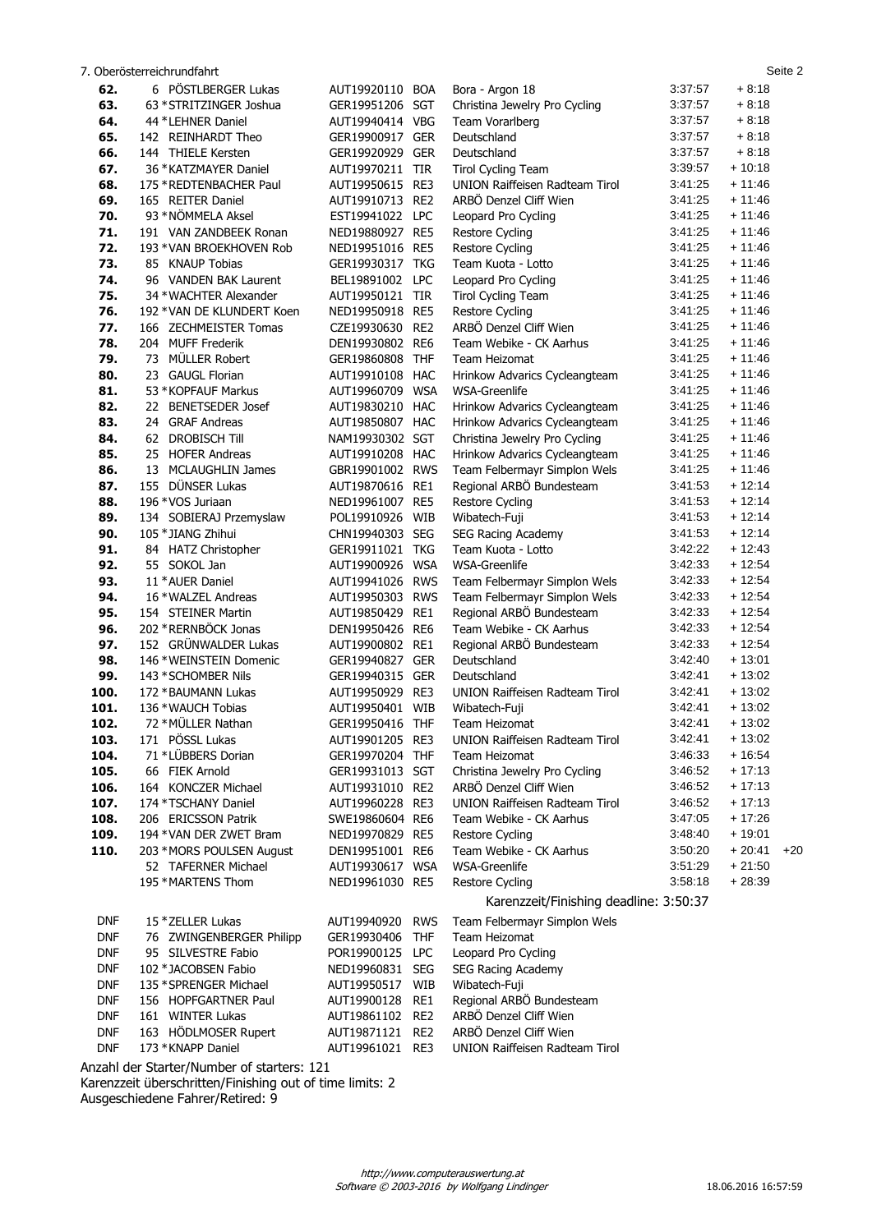|            | 7. Oberösterreichrundfahrt              |                            |                          |                                                          |                    |                      | Seite 2 |
|------------|-----------------------------------------|----------------------------|--------------------------|----------------------------------------------------------|--------------------|----------------------|---------|
| 62.        | 6 PÖSTLBERGER Lukas                     | AUT19920110                | <b>BOA</b>               | Bora - Argon 18                                          | 3:37:57            | $+8:18$              |         |
| 63.        | 63 * STRITZINGER Joshua                 | GER19951206 SGT            |                          | Christina Jewelry Pro Cycling                            | 3:37:57            | $+8:18$              |         |
| 64.        | 44 * LEHNER Daniel                      | AUT19940414 VBG            |                          | Team Vorarlberg                                          | 3:37:57            | $+8:18$              |         |
| 65.        | 142 REINHARDT Theo                      | GER19900917                | <b>GER</b>               | Deutschland                                              | 3:37:57            | $+8:18$              |         |
| 66.        | 144 THIELE Kersten                      | GER19920929                | <b>GER</b>               | Deutschland                                              | 3:37:57            | $+8:18$              |         |
| 67.        | 36 * KATZMAYER Daniel                   | AUT19970211 TIR            |                          | <b>Tirol Cycling Team</b>                                | 3:39:57            | $+10:18$             |         |
| 68.        | 175 * REDTENBACHER Paul                 | AUT19950615 RE3            |                          | <b>UNION Raiffeisen Radteam Tirol</b>                    | 3:41:25            | $+11:46$             |         |
| 69.        | 165 REITER Daniel                       | AUT19910713                | RE <sub>2</sub>          | ARBÖ Denzel Cliff Wien                                   | 3:41:25            | $+11:46$             |         |
| 70.        | 93 * NÖMMELA Aksel                      | EST19941022                | <b>LPC</b>               | Leopard Pro Cycling                                      | 3:41:25            | $+11:46$             |         |
| 71.        | 191 VAN ZANDBEEK Ronan                  | NED19880927 RE5            |                          | <b>Restore Cycling</b>                                   | 3:41:25            | $+11:46$             |         |
| 72.        | 193 * VAN BROEKHOVEN Rob                | NED19951016 RE5            |                          | <b>Restore Cycling</b>                                   | 3:41:25            | $+11:46$             |         |
| 73.        | 85 KNAUP Tobias                         | GER19930317 TKG            |                          | Team Kuota - Lotto                                       | 3:41:25            | $+11:46$             |         |
| 74.        | 96 VANDEN BAK Laurent                   | BEL19891002 LPC            |                          | Leopard Pro Cycling                                      | 3:41:25            | $+11:46$             |         |
| 75.        | 34 * WACHTER Alexander                  | AUT19950121 TIR            |                          | Tirol Cycling Team                                       | 3:41:25            | $+11:46$             |         |
| 76.        | 192 * VAN DE KLUNDERT Koen              | NED19950918 RE5            |                          | <b>Restore Cycling</b>                                   | 3:41:25            | $+11:46$             |         |
| 77.        | 166 ZECHMEISTER Tomas                   | CZE19930630                | RE <sub>2</sub>          | ARBÖ Denzel Cliff Wien                                   | 3:41:25            | $+11:46$             |         |
| 78.        | 204 MUFF Frederik                       | DEN19930802 RE6            |                          | Team Webike - CK Aarhus                                  | 3:41:25            | $+11:46$             |         |
| 79.        | MÜLLER Robert<br>73                     | GER19860808 THF            |                          | Team Heizomat                                            | 3:41:25            | $+11:46$             |         |
| 80.        | 23 GAUGL Florian                        | AUT19910108 HAC            |                          | Hrinkow Advarics Cycleangteam                            | 3:41:25            | $+11:46$             |         |
| 81.        | 53 * KOPFAUF Markus                     | AUT19960709                | <b>WSA</b>               | WSA-Greenlife                                            | 3:41:25            | $+11:46$             |         |
| 82.        | 22 BENETSEDER Josef                     | AUT19830210 HAC            |                          | Hrinkow Advarics Cycleangteam                            | 3:41:25            | $+11:46$             |         |
| 83.        | 24 GRAF Andreas                         | AUT19850807 HAC            |                          | Hrinkow Advarics Cycleangteam                            | 3:41:25            | $+11:46$             |         |
| 84.        | 62 DROBISCH Till                        | NAM19930302 SGT            |                          | Christina Jewelry Pro Cycling                            | 3:41:25            | $+11:46$             |         |
| 85.        | 25 HOFER Andreas                        | AUT19910208 HAC            |                          | Hrinkow Advarics Cycleangteam                            | 3:41:25            | $+11:46$             |         |
| 86.        | 13 MCLAUGHLIN James                     | GBR19901002 RWS            |                          | Team Felbermayr Simplon Wels                             | 3:41:25            | $+11:46$             |         |
| 87.        | 155 DÜNSER Lukas                        | AUT19870616 RE1            |                          | Regional ARBÖ Bundesteam                                 | 3:41:53            | $+12:14$             |         |
| 88.        | 196 * VOS Juriaan                       | NED19961007 RE5            |                          | Restore Cycling                                          | 3:41:53            | $+12:14$             |         |
| 89.        | 134 SOBIERAJ Przemyslaw                 | POL19910926                | WIB                      | Wibatech-Fuji                                            | 3:41:53            | $+12:14$             |         |
| 90.        | 105 * JIANG Zhihui                      | CHN19940303 SEG            |                          | SEG Racing Academy                                       | 3:41:53<br>3:42:22 | $+12:14$<br>$+12:43$ |         |
| 91.        | 84 HATZ Christopher                     | GER19911021 TKG            |                          | Team Kuota - Lotto                                       | 3:42:33            | $+12:54$             |         |
| 92.        | 55 SOKOL Jan                            | AUT19900926                | <b>WSA</b>               | <b>WSA-Greenlife</b>                                     | 3:42:33            | $+12:54$             |         |
| 93.<br>94. | 11 * AUER Daniel<br>16 * WALZEL Andreas | AUT19941026                | <b>RWS</b><br><b>RWS</b> | Team Felbermayr Simplon Wels                             | 3:42:33            | $+12:54$             |         |
| 95.        | 154 STEINER Martin                      | AUT19950303<br>AUT19850429 | RE1                      | Team Felbermayr Simplon Wels<br>Regional ARBÖ Bundesteam | 3:42:33            | $+12:54$             |         |
| 96.        | 202 * RERNBÖCK Jonas                    | DEN19950426                | RE6                      | Team Webike - CK Aarhus                                  | 3:42:33            | $+12:54$             |         |
| 97.        | 152 GRÜNWALDER Lukas                    | AUT19900802 RE1            |                          | Regional ARBÖ Bundesteam                                 | 3:42:33            | $+12:54$             |         |
| 98.        | 146 * WEINSTEIN Domenic                 | GER19940827                | <b>GER</b>               | Deutschland                                              | 3:42:40            | $+13:01$             |         |
| 99.        | 143 * SCHOMBER Nils                     | GER19940315 GER            |                          | Deutschland                                              | 3:42:41            | $+13:02$             |         |
| 100.       | 172 * BAUMANN Lukas                     | AUT19950929                | RE3                      | <b>UNION Raiffeisen Radteam Tirol</b>                    | 3:42:41            | $+13:02$             |         |
| 101.       | 136 * WAUCH Tobias                      | AUT19950401 WIB            |                          | Wibatech-Fuji                                            | 3:42:41            | $+13:02$             |         |
| 102.       | 72 * MÜLLER Nathan                      | GER19950416 THF            |                          | Team Heizomat                                            | 3:42:41            | $+13:02$             |         |
| 103.       | 171 PÖSSL Lukas                         | AUT19901205 RE3            |                          | <b>UNION Raiffeisen Radteam Tirol</b>                    | 3:42:41            | $+13:02$             |         |
| 104.       | 71 *LÜBBERS Dorian                      | GER19970204 THF            |                          | Team Heizomat                                            | 3:46:33            | $+16:54$             |         |
| 105.       | 66 FIEK Arnold                          | GER19931013 SGT            |                          | Christina Jewelry Pro Cycling                            | 3:46:52            | $+17:13$             |         |
| 106.       | 164 KONCZER Michael                     | AUT19931010 RE2            |                          | ARBÖ Denzel Cliff Wien                                   | 3:46:52            | $+17:13$             |         |
| 107.       | 174 * TSCHANY Daniel                    | AUT19960228 RE3            |                          | <b>UNION Raiffeisen Radteam Tirol</b>                    | 3:46:52            | $+17:13$             |         |
| 108.       | 206 ERICSSON Patrik                     | SWE19860604 RE6            |                          | Team Webike - CK Aarhus                                  | 3:47:05            | $+17:26$             |         |
| 109.       | 194 * VAN DER ZWET Bram                 | NED19970829 RE5            |                          | Restore Cycling                                          | 3:48:40            | $+19.01$             |         |
| 110.       | 203 * MORS POULSEN August               | DEN19951001 RE6            |                          | Team Webike - CK Aarhus                                  | 3:50:20            | $+20:41$             | $+20$   |
|            | 52 TAFERNER Michael                     | AUT19930617 WSA            |                          | <b>WSA-Greenlife</b>                                     | 3:51:29            | $+21:50$             |         |
|            | 195 * MARTENS Thom                      | NED19961030 RE5            |                          | Restore Cycling                                          | 3:58:18            | $+28:39$             |         |
|            |                                         |                            |                          | Karenzzeit/Finishing deadline: 3:50:37                   |                    |                      |         |
| <b>DNF</b> | 15 * ZELLER Lukas                       | AUT19940920                | <b>RWS</b>               | Team Felbermayr Simplon Wels                             |                    |                      |         |
| <b>DNF</b> | 76 ZWINGENBERGER Philipp                | GER19930406                | <b>THF</b>               | Team Heizomat                                            |                    |                      |         |
| <b>DNF</b> | 95 SILVESTRE Fabio                      | POR19900125                | <b>LPC</b>               | Leopard Pro Cycling                                      |                    |                      |         |
| <b>DNF</b> | 102 * JACOBSEN Fabio                    | NED19960831 SEG            |                          | SEG Racing Academy                                       |                    |                      |         |
| <b>DNF</b> | 135 * SPRENGER Michael                  | AUT19950517                | WIB                      | Wibatech-Fuji                                            |                    |                      |         |
| <b>DNF</b> | 156 HOPFGARTNER Paul                    | AUT19900128                | RE1                      | Regional ARBÖ Bundesteam                                 |                    |                      |         |
| <b>DNF</b> | 161 WINTER Lukas                        | AUT19861102                | RE <sub>2</sub>          | ARBÖ Denzel Cliff Wien                                   |                    |                      |         |
| <b>DNF</b> | 163 HÖDLMOSER Rupert                    | AUT19871121                | RE <sub>2</sub>          | ARBÖ Denzel Cliff Wien                                   |                    |                      |         |
| <b>DNF</b> | 173 * KNAPP Daniel                      | AUT19961021 RE3            |                          | <b>UNION Raiffeisen Radteam Tirol</b>                    |                    |                      |         |

Anzahl der Starter/Number of starters: 121

Karenzzeit überschritten/Finishing out of time limits: 2 Ausgeschiedene Fahrer/Retired: 9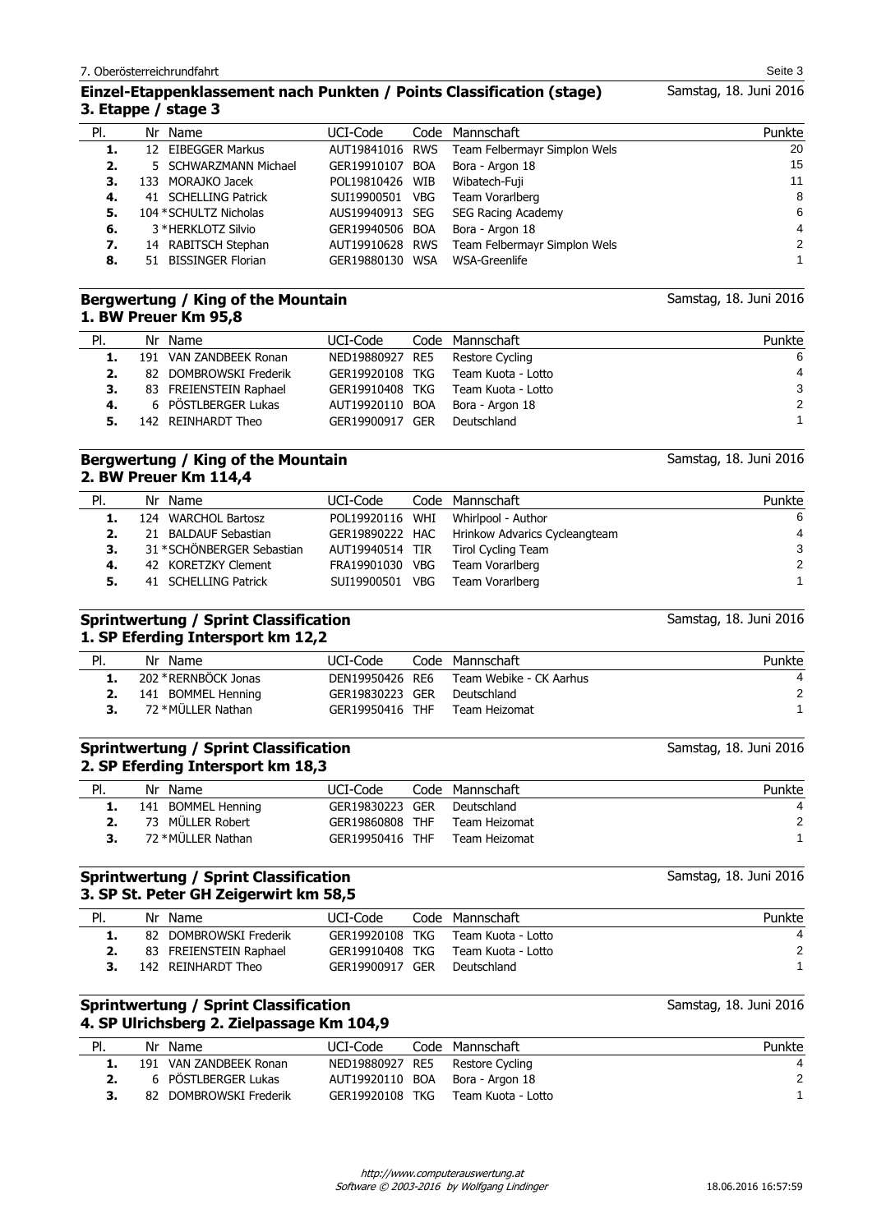## **Einzel-Etappenklassement nach Punkten / Points Classification (stage) 3. Etappe / stage 3**

| PI. | Nr Name                | UCI-Code        |            | Code Mannschaft              | Punkte |
|-----|------------------------|-----------------|------------|------------------------------|--------|
| 1.  | 12 EIBEGGER Markus     | AUT19841016 RWS |            | Team Felbermayr Simplon Wels | 20     |
| 2.  | 5 SCHWARZMANN Michael  | GER19910107 BOA |            | Bora - Argon 18              | 15     |
| З.  | 133 MORAJKO Jacek      | POL19810426 WIB |            | Wibatech-Fuji                | 11     |
| 4.  | 41 SCHELLING Patrick   | SUI19900501     | <b>VBG</b> | Team Vorarlberg              | 8      |
| 5.  | 104 * SCHULTZ Nicholas | AUS19940913 SEG |            | SEG Racing Academy           | 6      |
| 6.  | 3 * HERKLOTZ Silvio    | GER19940506 BOA |            | Bora - Argon 18              | 4      |
| 7.  | 14 RABITSCH Stephan    | AUT19910628 RWS |            | Team Felbermayr Simplon Wels | 2      |
| 8.  | 51 BISSINGER Florian   | GER19880130 WSA |            | WSA-Greenlife                |        |

### **Bergwertung / King of the Mountain 1. BW Preuer Km 95,8**

| PI. | Nr Name                   | UCI-Code        | Code Mannschaft                 | Punkte         |
|-----|---------------------------|-----------------|---------------------------------|----------------|
|     | 1. 191 VAN ZANDBEEK Ronan |                 | NED19880927 RE5 Restore Cycling | 6              |
| 2.  | 82 DOMBROWSKI Frederik    | GER19920108 TKG | Team Kuota - Lotto              | $\overline{4}$ |
| 3.  | 83 FREIENSTEIN Raphael    | GER19910408 TKG | Team Kuota - Lotto              | 3              |
| 4.  | 6 PÖSTLBERGER Lukas       | AUT19920110 BOA | Bora - Argon 18                 | 2              |
| 5.  | 142 REINHARDT Theo        | GER19900917 GER | Deutschland                     |                |

## **Bergwertung / King of the Mountain 2. BW Preuer Km 114,4**

| PI. | Nr Name                    | UCI-Code        | Code Mannschaft                               | Punkte |
|-----|----------------------------|-----------------|-----------------------------------------------|--------|
| 1.  | 124 WARCHOL Bartosz        |                 | POL19920116 WHI Whirlpool - Author            | -6     |
| 2.  | 21 BALDAUF Sebastian       |                 | GER19890222 HAC Hrinkow Advarics Cycleangteam | 4      |
| 3.  | 31 * SCHÖNBERGER Sebastian |                 | AUT19940514 TIR Tirol Cycling Team            | 3      |
| 4.  | 42 KORETZKY Clement        | FRA19901030 VBG | Team Vorarlberg                               | 2      |
| 5.  | 41 SCHELLING Patrick       | SUI19900501 VBG | Team Vorarlberg                               |        |

### **Sprintwertung / Sprint Classification 1. SP Eferding Intersport km 12,2**

| PI. | Nr Name              | UCI-Code        | Code Mannschaft         | Punkte |
|-----|----------------------|-----------------|-------------------------|--------|
|     | 202 * RERNBÖCK Jonas | DEN19950426 RE6 | Team Webike - CK Aarhus |        |
|     | 141 BOMMEL Henning   | GER19830223 GER | Deutschland             | 2      |
|     | 72 * MÜLLER Nathan   | GER19950416 THF | Team Heizomat           |        |

### **Sprintwertung / Sprint Classification 2. SP Eferding Intersport km 18,3**

| PI. | Nr Name                      | UCI-Code        | Code Mannschaft | Punkte |
|-----|------------------------------|-----------------|-----------------|--------|
|     | <b>1.</b> 141 BOMMEL Henning | GER19830223 GER | Deutschland     |        |
|     | 73 MÜLLER Robert             | GER19860808 THF | Team Heizomat   |        |
|     | 72 * MÜLLER Nathan           | GER19950416 THF | Team Heizomat   |        |

### **Sprintwertung / Sprint Classification 3. SP St. Peter GH Zeigerwirt km 58,5**

| PI. | Nr Name                | UCI-Code        | Code Mannschaft    | Punkte |
|-----|------------------------|-----------------|--------------------|--------|
|     | 82 DOMBROWSKI Frederik | GER19920108 TKG | Team Kuota - Lotto |        |
|     | 83 FREIENSTEIN Raphael | GER19910408 TKG | Team Kuota - Lotto | 2      |
|     | 142 REINHARDT Theo     | GER19900917 GER | Deutschland        |        |
|     |                        |                 |                    |        |

## **Sprintwertung / Sprint Classification 4. SP Ulrichsberg 2. Zielpassage Km 104,9**

| PI. | Nr Name                | UCI-Code        | Code Mannschaft                 | Punkte |
|-----|------------------------|-----------------|---------------------------------|--------|
|     | 191 VAN ZANDBEEK Ronan |                 | NED19880927 RE5 Restore Cycling |        |
|     | 6 PÖSTLBERGER Lukas    |                 | AUT19920110 BOA Bora - Argon 18 | 2      |
|     | 82 DOMBROWSKI Frederik | GER19920108 TKG | Team Kuota - Lotto              |        |

Software © 2003-2016 by Wolfgang Lindinger http://www.computerauswertung.at

Samstag, 18. Juni 2016

Samstag, 18. Juni 2016

Samstag, 18. Juni 2016

Samstag, 18. Juni 2016

Samstag, 18. Juni 2016

Samstag, 18. Juni 2016

Samstag, 18. Juni 2016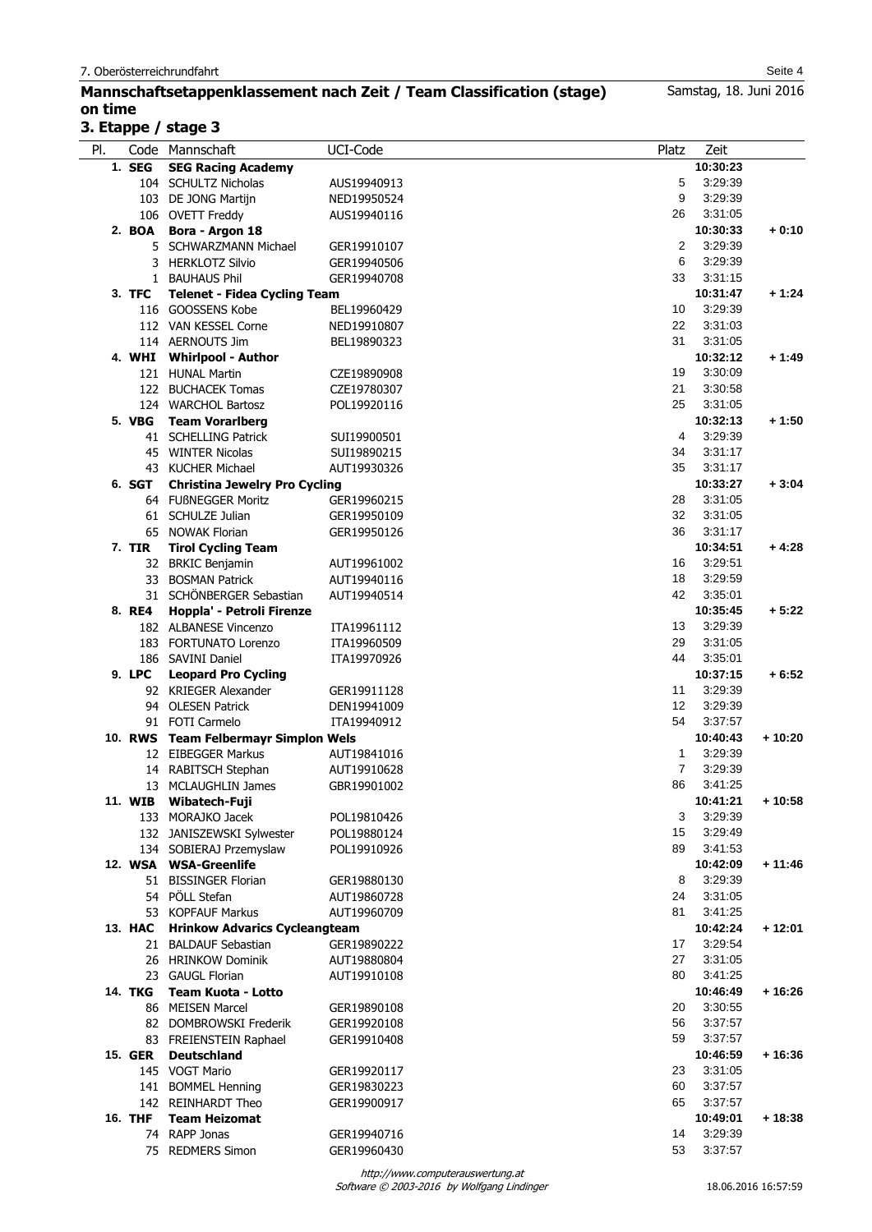## **Mannschaftsetappenklassement nach Zeit / Team Classification (stage) on time**

## **3. Etappe / stage 3**

| PI. |                | Code Mannschaft                                         | UCI-Code    | Platz          | Zeit                |          |
|-----|----------------|---------------------------------------------------------|-------------|----------------|---------------------|----------|
|     | 1. SEG         | <b>SEG Racing Academy</b>                               |             |                | 10:30:23            |          |
|     |                | 104 SCHULTZ Nicholas                                    | AUS19940913 | 5              | 3:29:39             |          |
|     |                | 103 DE JONG Martijn                                     | NED19950524 | 9              | 3:29:39             |          |
|     |                | 106 OVETT Freddy                                        | AUS19940116 | 26             | 3:31:05             |          |
|     |                | 2. BOA Bora - Argon 18                                  |             |                | 10:30:33            | $+0:10$  |
|     |                | 5 SCHWARZMANN Michael                                   | GER19910107 | 2              | 3:29:39             |          |
|     |                | 3 HERKLOTZ Silvio                                       | GER19940506 | 6              | 3:29:39             |          |
|     |                | 1 BAUHAUS Phil                                          | GER19940708 | 33             | 3:31:15             |          |
|     | 3. TFC         | <b>Telenet - Fidea Cycling Team</b>                     |             |                | 10:31:47            | $+1:24$  |
|     |                | 116 GOOSSENS Kobe                                       | BEL19960429 | 10             | 3:29:39             |          |
|     |                | 112 VAN KESSEL Corne                                    | NED19910807 | 22             | 3:31:03             |          |
|     |                | 114 AERNOUTS Jim                                        | BEL19890323 | 31             | 3:31:05             |          |
|     |                | 4. WHI Whirlpool - Author                               |             |                | 10:32:12            | + 1:49   |
|     |                | 121 HUNAL Martin                                        | CZE19890908 | 19             | 3:30:09             |          |
|     |                | 122 BUCHACEK Tomas                                      | CZE19780307 | 21             | 3:30:58             |          |
|     |                | 124 WARCHOL Bartosz                                     | POL19920116 | 25             | 3:31:05             |          |
|     |                | 5. VBG Team Vorarlberg                                  |             |                | 10:32:13            | $+1:50$  |
|     |                | 41 SCHELLING Patrick                                    | SUI19900501 | 4              | 3:29:39             |          |
|     |                | 45 WINTER Nicolas                                       | SUI19890215 | 34             | 3:31:17             |          |
|     |                | 43 KUCHER Michael                                       | AUT19930326 | 35             | 3:31:17             |          |
|     | 6. SGT         | <b>Christina Jewelry Pro Cycling</b>                    |             |                | 10:33:27            | $+3:04$  |
|     |                | 64 FUßNEGGER Moritz                                     | GER19960215 | 28             | 3:31:05             |          |
|     |                | 61 SCHULZE Julian                                       | GER19950109 | 32             | 3:31:05             |          |
|     |                | 65 NOWAK Florian                                        | GER19950126 | 36             | 3:31:17             |          |
|     | 7. TIR         | <b>Tirol Cycling Team</b>                               |             |                | 10:34:51            | $+4:28$  |
|     |                | 32 BRKIC Benjamin                                       | AUT19961002 | 16             | 3:29:51             |          |
|     |                | 33 BOSMAN Patrick                                       | AUT19940116 | 18             | 3:29:59             |          |
|     |                | 31 SCHÖNBERGER Sebastian                                | AUT19940514 | 42             | 3:35:01             |          |
|     | 8. RE4         | Hoppla' - Petroli Firenze                               |             |                | 10:35:45            | $+5:22$  |
|     |                | 182 ALBANESE Vincenzo                                   | ITA19961112 | 13             | 3:29:39             |          |
|     |                | 183 FORTUNATO Lorenzo                                   | ITA19960509 | 29             | 3:31:05             |          |
|     |                | 186 SAVINI Daniel                                       | ITA19970926 | 44             | 3:35:01             |          |
|     | 9. LPC         | <b>Leopard Pro Cycling</b>                              |             |                | 10:37:15            | $+6:52$  |
|     |                | 92 KRIEGER Alexander                                    | GER19911128 | 11             | 3:29:39             |          |
|     |                | 94 OLESEN Patrick                                       | DEN19941009 | 12<br>54       | 3:29:39             |          |
|     |                | 91 FOTI Carmelo<br>10. RWS Team Felbermayr Simplon Wels | ITA19940912 |                | 3:37:57             |          |
|     |                | 12 EIBEGGER Markus                                      | AUT19841016 | $\mathbf{1}$   | 10:40:43<br>3:29:39 | + 10:20  |
|     |                | 14 RABITSCH Stephan                                     | AUT19910628 | $\overline{7}$ | 3:29:39             |          |
|     |                | 13 MCLAUGHLIN James                                     | GBR19901002 | 86             | 3:41:25             |          |
|     |                | 11. WIB Wibatech-Fuji                                   |             |                | 10:41:21            | $+10:58$ |
|     |                | 133 MORAJKO Jacek                                       | POL19810426 | 3              | 3:29:39             |          |
|     |                | 132 JANISZEWSKI Sylwester                               | POL19880124 | 15             | 3:29:49             |          |
|     |                | 134 SOBIERAJ Przemyslaw                                 | POL19910926 | 89             | 3:41:53             |          |
|     |                | 12. WSA WSA-Greenlife                                   |             |                | 10:42:09            | $+11:46$ |
|     |                | 51 BISSINGER Florian                                    | GER19880130 | 8              | 3:29:39             |          |
|     |                | 54 PÖLL Stefan                                          | AUT19860728 | 24             | 3:31:05             |          |
|     |                | 53 KOPFAUF Markus                                       | AUT19960709 | 81             | 3:41:25             |          |
|     |                | 13. HAC Hrinkow Advarics Cycleangteam                   |             |                | 10:42:24            | + 12:01  |
|     |                | 21 BALDAUF Sebastian                                    | GER19890222 | 17             | 3:29:54             |          |
|     |                | 26 HRINKOW Dominik                                      | AUT19880804 | 27             | 3:31:05             |          |
|     |                | 23 GAUGL Florian                                        | AUT19910108 | 80             | 3:41:25             |          |
|     |                | 14. TKG Team Kuota - Lotto                              |             |                | 10:46:49            | $+16:26$ |
|     |                | 86 MEISEN Marcel                                        | GER19890108 | 20             | 3:30:55             |          |
|     |                | 82 DOMBROWSKI Frederik                                  | GER19920108 | 56             | 3:37:57             |          |
|     |                | 83 FREIENSTEIN Raphael                                  | GER19910408 | 59             | 3:37:57             |          |
|     | 15. GER        | <b>Deutschland</b>                                      |             |                | 10:46:59            | + 16:36  |
|     |                | 145 VOGT Mario                                          | GER19920117 | 23             | 3:31:05             |          |
|     |                | 141 BOMMEL Henning                                      | GER19830223 | 60             | 3:37:57             |          |
|     |                | 142 REINHARDT Theo                                      | GER19900917 | 65             | 3:37:57             |          |
|     | <b>16. THF</b> | <b>Team Heizomat</b>                                    |             |                | 10:49:01            | + 18:38  |
|     |                | 74 RAPP Jonas                                           | GER19940716 | 14             | 3:29:39             |          |
|     |                | 75 REDMERS Simon                                        | GER19960430 | 53             | 3:37:57             |          |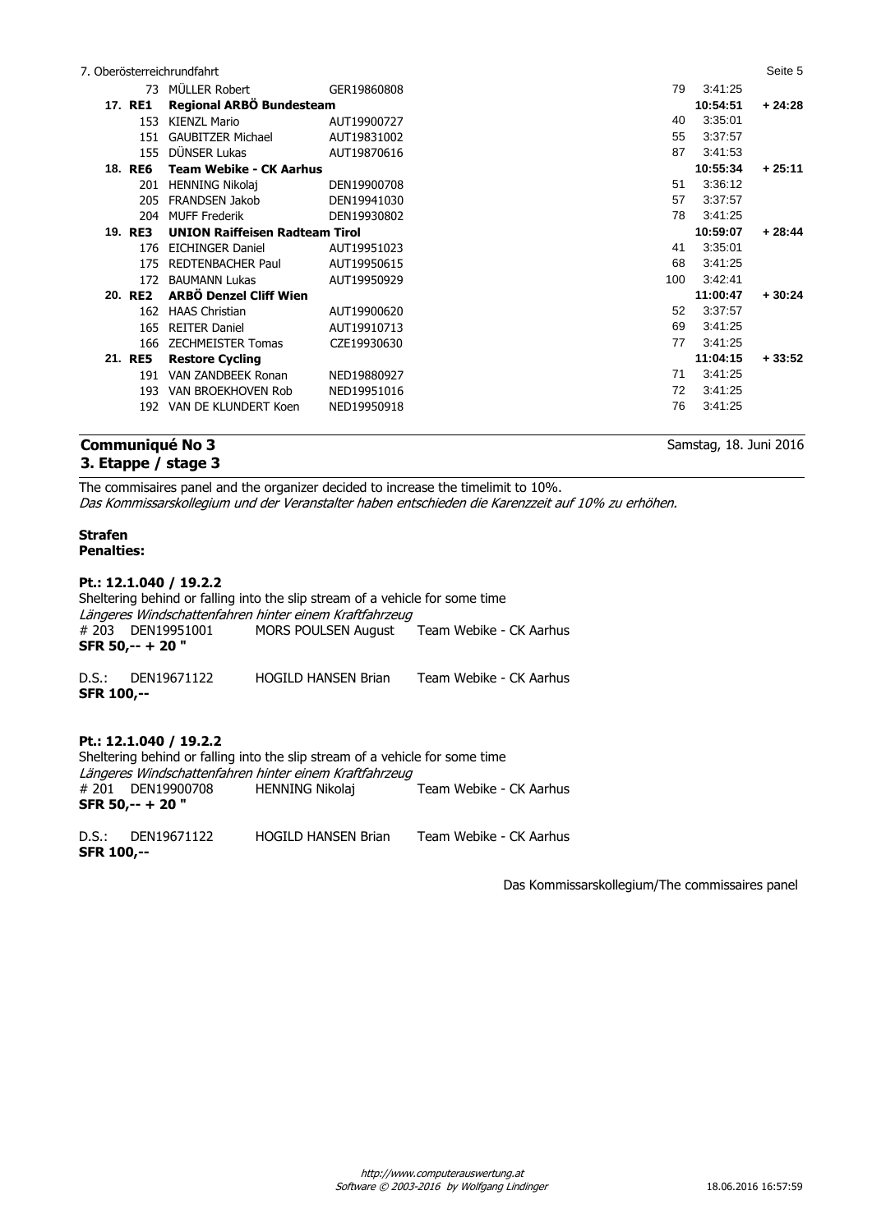|                | 7. Oberösterreichrundfahrt            |             |     |          | Seite 5  |
|----------------|---------------------------------------|-------------|-----|----------|----------|
|                | 73 MÜLLER Robert                      | GER19860808 | 79  | 3:41:25  |          |
| 17. RE1        | Regional ARBÖ Bundesteam              |             |     | 10:54:51 | $+24:28$ |
| 153            | KIENZL Mario                          | AUT19900727 | 40  | 3:35:01  |          |
| 151            | <b>GAUBITZER Michael</b>              | AUT19831002 | 55  | 3:37:57  |          |
| 155            | DÜNSER Lukas                          | AUT19870616 | 87  | 3:41:53  |          |
| <b>18. RE6</b> | <b>Team Webike - CK Aarhus</b>        |             |     | 10:55:34 | $+25:11$ |
|                | 201 HENNING Nikolaj                   | DEN19900708 | 51  | 3:36:12  |          |
| 205            | <b>FRANDSEN Jakob</b>                 | DEN19941030 | 57  | 3:37:57  |          |
|                | 204 MUFF Frederik                     | DEN19930802 | 78  | 3:41:25  |          |
| 19. RE3        | <b>UNION Raiffeisen Radteam Tirol</b> |             |     | 10:59:07 | $+28:44$ |
|                | 176 EICHINGER Daniel                  | AUT19951023 | 41  | 3:35:01  |          |
|                | 175 REDTENBACHER Paul                 | AUT19950615 | 68  | 3:41:25  |          |
| 172            | <b>BAUMANN Lukas</b>                  | AUT19950929 | 100 | 3:42:41  |          |
| 20. RE2        | <b>ARBÖ Denzel Cliff Wien</b>         |             |     | 11:00:47 | $+30:24$ |
|                | 162 HAAS Christian                    | AUT19900620 | 52  | 3:37:57  |          |
| 165            | <b>REITER Daniel</b>                  | AUT19910713 | 69  | 3:41:25  |          |
| 166            | <b>ZECHMEISTER Tomas</b>              | CZE19930630 | 77  | 3:41:25  |          |
| 21. RE5        | <b>Restore Cycling</b>                |             |     | 11:04:15 | $+33:52$ |
| 191            | VAN ZANDBEEK Ronan                    | NED19880927 | 71  | 3:41:25  |          |
| 193            | VAN BROEKHOVEN Rob                    | NED19951016 | 72  | 3:41:25  |          |
|                | 192 VAN DE KLUNDERT Koen              | NED19950918 | 76  | 3:41:25  |          |
|                |                                       |             |     |          |          |

## **Communiqué No 3 3. Etappe / stage 3**

Samstag, 18. Juni 2016

The commisaires panel and the organizer decided to increase the timelimit to 10%. Das Kommissarskollegium und der Veranstalter haben entschieden die Karenzzeit auf 10% zu erhöhen.

## **Strafen Penalties:**

**Pt.: 12.1.040 / 19.2.2** Sheltering behind or falling into the slip stream of a vehicle for some time Längeres Windschattenfahren hinter einem Kraftfahrzeug<br># 203 DEN19951001 MORS POULSEN August MORS POULSEN August Team Webike - CK Aarhus **SFR 50,-- + 20 "** D.S.: DEN19671122 HOGILD HANSEN Brian Team Webike - CK Aarhus **SFR 100,-- Pt.: 12.1.040 / 19.2.2**

Sheltering behind or falling into the slip stream of a vehicle for some time Längeres Windschattenfahren hinter einem Kraftfahrzeug<br># 201 DEN19900708 HENNING Nikolaj # 201 DEN19900708 HENNING Nikolaj Team Webike - CK Aarhus **SFR 50,-- + 20 "**

D.S.: DEN19671122 HOGILD HANSEN Brian Team Webike - CK Aarhus **SFR 100,--**

Das Kommissarskollegium/The commissaires panel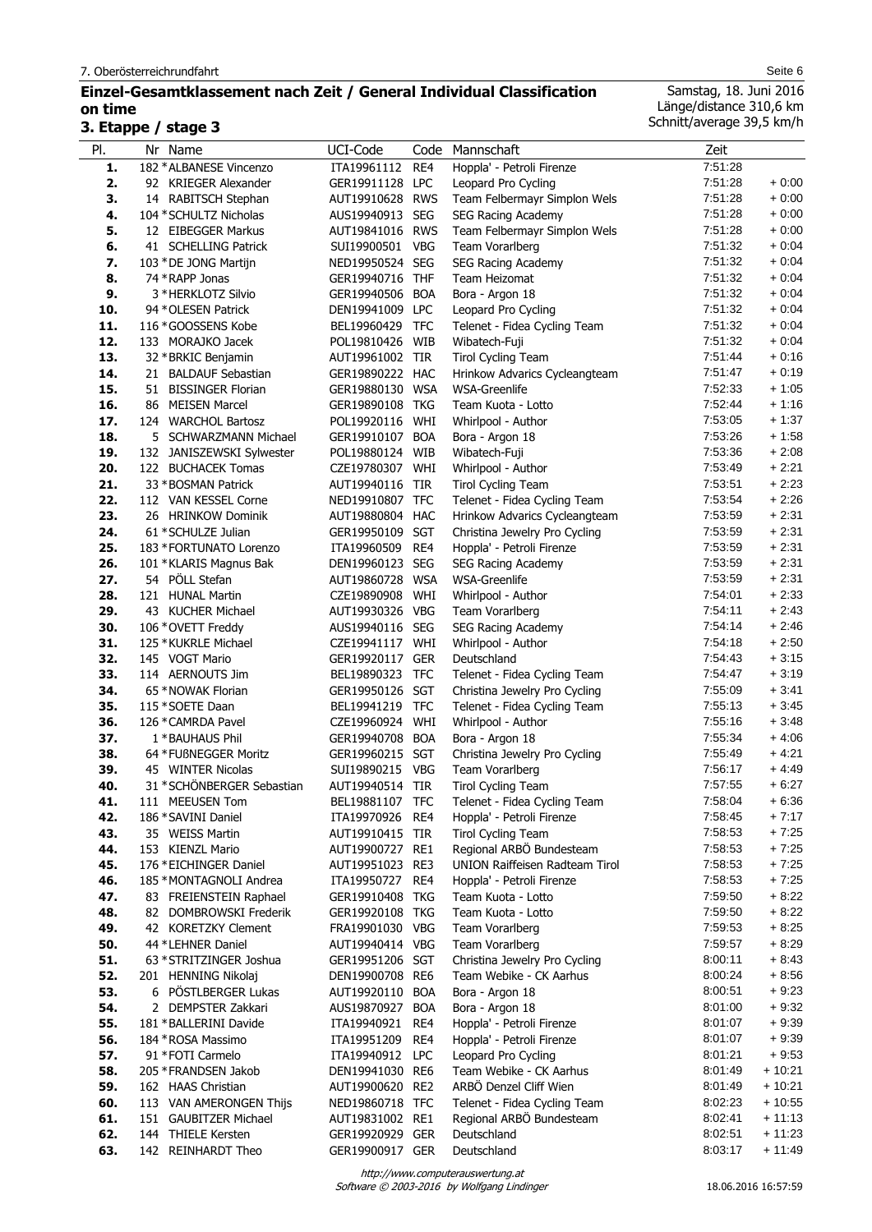## **Einzel-Gesamtklassement nach Zeit / General Individual Classification on time**

## **3. Etappe / stage 3**

l,

Samstag, 18. Juni 2016 Länge/distance 310,6 km Schnitt/average 39,5 km/h

| PI.        | Nr Name                                         | UCI-Code                           | Code              | Mannschaft                                       | Zeit               |                    |
|------------|-------------------------------------------------|------------------------------------|-------------------|--------------------------------------------------|--------------------|--------------------|
| 1.         | 182 * ALBANESE Vincenzo                         | ITA19961112                        | RE4               | Hoppla' - Petroli Firenze                        | 7:51:28            |                    |
| 2.         | 92 KRIEGER Alexander                            | GER19911128 LPC                    |                   | Leopard Pro Cycling                              | 7:51:28            | $+0:00$            |
| 3.         | 14 RABITSCH Stephan                             | AUT19910628 RWS                    |                   | Team Felbermayr Simplon Wels                     | 7:51:28            | $+0:00$            |
| 4.         | 104 * SCHULTZ Nicholas                          | AUS19940913                        | <b>SEG</b>        | SEG Racing Academy                               | 7:51:28            | $+0:00$            |
| 5.         | 12 EIBEGGER Markus                              | AUT19841016 RWS                    |                   | Team Felbermayr Simplon Wels                     | 7:51:28<br>7:51:32 | $+0:00$<br>$+0:04$ |
| 6.<br>7.   | 41 SCHELLING Patrick<br>103 * DE JONG Martijn   | SUI19900501<br>NED19950524 SEG     | <b>VBG</b>        | Team Vorarlberg<br><b>SEG Racing Academy</b>     | 7:51:32            | $+0.04$            |
| 8.         | 74 * RAPP Jonas                                 | GER19940716 THF                    |                   | Team Heizomat                                    | 7:51:32            | $+0.04$            |
| 9.         | 3 * HERKLOTZ Silvio                             | GER19940506                        | <b>BOA</b>        | Bora - Argon 18                                  | 7:51:32            | $+0.04$            |
| 10.        | 94 * OLESEN Patrick                             | DEN19941009 LPC                    |                   | Leopard Pro Cycling                              | 7:51:32            | $+0.04$            |
| 11.        | 116 * GOOSSENS Kobe                             | BEL19960429                        | <b>TFC</b>        | Telenet - Fidea Cycling Team                     | 7:51:32            | $+0:04$            |
| 12.        | 133 MORAJKO Jacek                               | POL19810426 WIB                    |                   | Wibatech-Fuji                                    | 7:51:32            | $+0:04$            |
| 13.        | 32 * BRKIC Benjamin                             | AUT19961002 TIR                    |                   | <b>Tirol Cycling Team</b>                        | 7.51.44            | $+0:16$            |
| 14.        | 21 BALDAUF Sebastian                            | GER19890222 HAC                    |                   | Hrinkow Advarics Cycleangteam                    | 7.51.47            | $+0:19$            |
| 15.        | 51 BISSINGER Florian                            | GER19880130 WSA                    |                   | <b>WSA-Greenlife</b>                             | 7:52:33            | $+1:05$            |
| 16.        | 86 MEISEN Marcel                                | GER19890108 TKG                    |                   | Team Kuota - Lotto                               | 7:52:44            | $+1:16$            |
| 17.        | 124 WARCHOL Bartosz                             | POL19920116 WHI                    |                   | Whirlpool - Author                               | 7:53:05            | $+1:37$            |
| 18.        | 5 SCHWARZMANN Michael                           | GER19910107 BOA                    |                   | Bora - Argon 18                                  | 7:53:26            | $+1:58$            |
| 19.<br>20. | 132 JANISZEWSKI Sylwester<br>122 BUCHACEK Tomas | POL19880124 WIB<br>CZE19780307 WHI |                   | Wibatech-Fuji                                    | 7:53:36<br>7:53:49 | $+2:08$<br>$+2:21$ |
| 21.        | 33 * BOSMAN Patrick                             | AUT19940116                        | <b>TIR</b>        | Whirlpool - Author<br><b>Tirol Cycling Team</b>  | 7:53:51            | $+2:23$            |
| 22.        | 112 VAN KESSEL Corne                            | NED19910807 TFC                    |                   | Telenet - Fidea Cycling Team                     | 7:53:54            | $+2:26$            |
| 23.        | 26 HRINKOW Dominik                              | AUT19880804 HAC                    |                   | Hrinkow Advarics Cycleangteam                    | 7:53:59            | $+2:31$            |
| 24.        | 61 * SCHULZE Julian                             | GER19950109 SGT                    |                   | Christina Jewelry Pro Cycling                    | 7:53:59            | $+2:31$            |
| 25.        | 183 * FORTUNATO Lorenzo                         | ITA19960509                        | RE4               | Hoppla' - Petroli Firenze                        | 7:53:59            | $+2:31$            |
| 26.        | 101 *KLARIS Magnus Bak                          | DEN19960123 SEG                    |                   | SEG Racing Academy                               | 7:53:59            | $+2:31$            |
| 27.        | 54 PÖLL Stefan                                  | AUT19860728 WSA                    |                   | <b>WSA-Greenlife</b>                             | 7:53:59            | $+2:31$            |
| 28.        | 121 HUNAL Martin                                | CZE19890908                        | WHI               | Whirlpool - Author                               | 7:54:01            | $+2:33$            |
| 29.        | 43 KUCHER Michael                               | AUT19930326 VBG                    |                   | Team Vorarlberg                                  | 7:54:11            | $+2:43$            |
| 30.        | 106 * OVETT Freddy                              | AUS19940116 SEG                    |                   | SEG Racing Academy                               | 7:54:14            | $+2:46$            |
| 31.        | 125 * KUKRLE Michael                            | CZE19941117                        | WHI               | Whirlpool - Author                               | 7:54:18            | $+2:50$            |
| 32.        | 145 VOGT Mario                                  | GER19920117 GER                    |                   | Deutschland                                      | 7:54:43            | $+3:15$            |
| 33.        | 114 AERNOUTS Jim                                | BEL19890323                        | <b>TFC</b>        | Telenet - Fidea Cycling Team                     | 7:54:47            | $+3:19$            |
| 34.        | 65 * NOWAK Florian                              | GER19950126 SGT                    |                   | Christina Jewelry Pro Cycling                    | 7:55:09            | $+3.41$            |
| 35.<br>36. | 115 * SOETE Daan<br>126 * CAMRDA Pavel          | BEL19941219<br>CZE19960924         | <b>TFC</b><br>WHI | Telenet - Fidea Cycling Team                     | 7:55:13<br>7:55:16 | $+3:45$<br>$+3:48$ |
| 37.        | 1 * BAUHAUS Phil                                | GER19940708                        | <b>BOA</b>        | Whirlpool - Author<br>Bora - Argon 18            | 7:55:34            | $+4:06$            |
| 38.        | 64 * FUßNEGGER Moritz                           | GER19960215 SGT                    |                   | Christina Jewelry Pro Cycling                    | 7:55:49            | $+4:21$            |
| 39.        | 45 WINTER Nicolas                               | SUI19890215 VBG                    |                   | Team Vorarlberg                                  | 7:56:17            | $+4:49$            |
| 40.        | 31 * SCHÖNBERGER Sebastian                      | AUT19940514 TIR                    |                   | <b>Tirol Cycling Team</b>                        | 7:57:55            | $+6:27$            |
| 41.        | 111 MEEUSEN Tom                                 | BEL19881107 TFC                    |                   | Telenet - Fidea Cycling Team                     | 7:58:04            | + 6:36             |
| 42.        | 186 * SAVINI Daniel                             | ITA19970926                        | RE4               | Hoppla' - Petroli Firenze                        | 7:58:45            | $+7:17$            |
| 43.        | 35 WEISS Martin                                 | AUT19910415 TIR                    |                   | <b>Tirol Cycling Team</b>                        | 7:58:53            | $+7:25$            |
| 44.        | 153 KIENZL Mario                                | AUT19900727 RE1                    |                   | Regional ARBÖ Bundesteam                         | 7:58:53            | $+7:25$            |
| 45.        | 176 * EICHINGER Daniel                          | AUT19951023 RE3                    |                   | <b>UNION Raiffeisen Radteam Tirol</b>            | 7:58:53            | $+7:25$            |
| 46.        | 185 * MONTAGNOLI Andrea                         | ITA19950727 RE4                    |                   | Hoppla' - Petroli Firenze                        | 7:58:53            | $+7:25$            |
| 47.        | 83 FREIENSTEIN Raphael                          | GER19910408                        | TKG               | Team Kuota - Lotto                               | 7:59:50            | $+8:22$            |
| 48.        | 82 DOMBROWSKI Frederik                          | GER19920108 TKG                    |                   | Team Kuota - Lotto                               | 7.59.50            | $+8:22$            |
| 49.        | 42 KORETZKY Clement                             | FRA19901030 VBG                    |                   | Team Vorarlberg                                  | 7:59:53<br>7:59:57 | $+8.25$<br>$+8:29$ |
| 50.<br>51. | 44 * LEHNER Daniel<br>63 * STRITZINGER Joshua   | AUT19940414 VBG<br>GER19951206 SGT |                   | Team Vorarlberg<br>Christina Jewelry Pro Cycling | 8:00:11            | $+8:43$            |
| 52.        | 201 HENNING Nikolaj                             | DEN19900708 RE6                    |                   | Team Webike - CK Aarhus                          | 8:00:24            | $+8.56$            |
| 53.        | 6 PÖSTLBERGER Lukas                             | AUT19920110 BOA                    |                   | Bora - Argon 18                                  | 8:00:51            | $+9:23$            |
| 54.        | 2 DEMPSTER Zakkari                              | AUS19870927 BOA                    |                   | Bora - Argon 18                                  | 8:01:00            | $+9:32$            |
| 55.        | 181 * BALLERINI Davide                          | ITA19940921 RE4                    |                   | Hoppla' - Petroli Firenze                        | 8:01:07            | $+9:39$            |
| 56.        | 184 * ROSA Massimo                              | ITA19951209                        | RE4               | Hoppla' - Petroli Firenze                        | 8:01:07            | $+9:39$            |
| 57.        | 91 * FOTI Carmelo                               | ITA19940912 LPC                    |                   | Leopard Pro Cycling                              | 8:01:21            | $+9:53$            |
| 58.        | 205 * FRANDSEN Jakob                            | DEN19941030 RE6                    |                   | Team Webike - CK Aarhus                          | 8:01:49            | + 10:21            |
| 59.        | 162 HAAS Christian                              | AUT19900620 RE2                    |                   | ARBÖ Denzel Cliff Wien                           | 8:01:49            | + 10:21            |
| 60.        | 113 VAN AMERONGEN Thijs                         | NED19860718 TFC                    |                   | Telenet - Fidea Cycling Team                     | 8:02:23            | $+10:55$           |
| 61.        | 151 GAUBITZER Michael                           | AUT19831002 RE1                    |                   | Regional ARBO Bundesteam                         | 8:02:41            | $+11:13$           |
| 62.        | 144 THIELE Kersten                              | GER19920929 GER                    |                   | Deutschland                                      | 8:02:51            | $+11:23$           |
| 63.        | 142 REINHARDT Theo                              | GER19900917 GER                    |                   | Deutschland                                      | 8:03:17            | $+11:49$           |

Software © 2003-2016 by Wolfgang Lindinger http://www.computerauswertung.at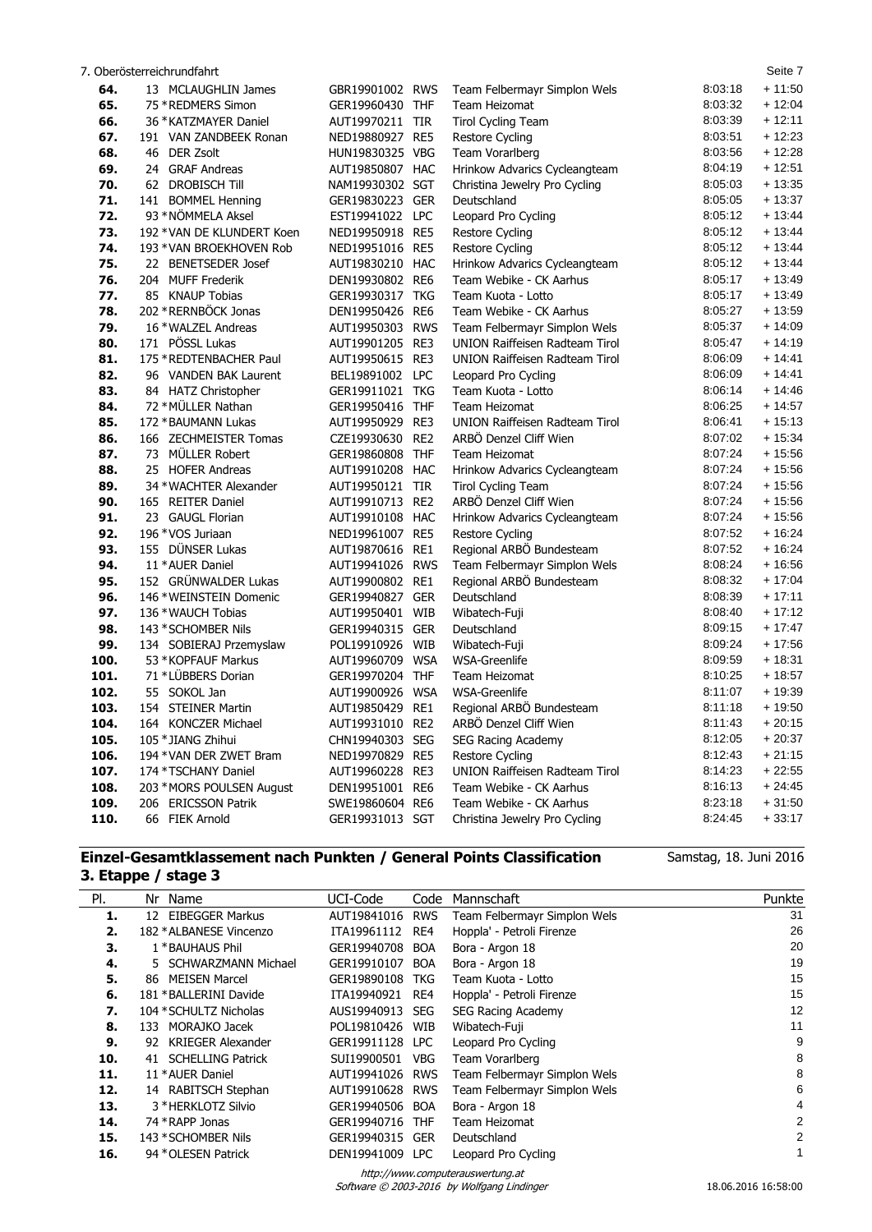|      | 7. Oberösterreichrundfahrt |                 |                 |                                       |         | Seite 7  |
|------|----------------------------|-----------------|-----------------|---------------------------------------|---------|----------|
| 64.  | 13 MCLAUGHLIN James        | GBR19901002     | <b>RWS</b>      | Team Felbermayr Simplon Wels          | 8:03:18 | $+11:50$ |
| 65.  | 75 * REDMERS Simon         | GER19960430 THF |                 | Team Heizomat                         | 8:03:32 | $+12:04$ |
| 66.  | 36 * KATZMAYER Daniel      | AUT19970211 TIR |                 | <b>Tirol Cycling Team</b>             | 8:03:39 | $+12:11$ |
| 67.  | 191 VAN ZANDBEEK Ronan     | NED19880927 RE5 |                 | Restore Cycling                       | 8:03:51 | $+12:23$ |
| 68.  | 46 DER Zsolt               | HUN19830325 VBG |                 | Team Vorarlberg                       | 8:03:56 | $+12:28$ |
| 69.  | 24 GRAF Andreas            | AUT19850807 HAC |                 | Hrinkow Advarics Cycleangteam         | 8:04:19 | $+12:51$ |
| 70.  | 62 DROBISCH Till           | NAM19930302 SGT |                 | Christina Jewelry Pro Cycling         | 8:05:03 | $+13:35$ |
| 71.  | 141 BOMMEL Henning         | GER19830223 GER |                 | Deutschland                           | 8:05:05 | $+13:37$ |
| 72.  | 93 * NÖMMELA Aksel         | EST19941022 LPC |                 | Leopard Pro Cycling                   | 8:05:12 | $+13:44$ |
| 73.  | 192 * VAN DE KLUNDERT Koen | NED19950918 RE5 |                 | Restore Cycling                       | 8:05:12 | $+13:44$ |
| 74.  | 193 * VAN BROEKHOVEN Rob   | NED19951016 RE5 |                 | Restore Cycling                       | 8:05:12 | $+13:44$ |
| 75.  | 22 BENETSEDER Josef        | AUT19830210 HAC |                 | Hrinkow Advarics Cycleangteam         | 8:05:12 | $+13:44$ |
| 76.  | 204 MUFF Frederik          | DEN19930802 RE6 |                 | Team Webike - CK Aarhus               | 8:05:17 | $+13:49$ |
| 77.  | 85 KNAUP Tobias            | GER19930317 TKG |                 | Team Kuota - Lotto                    | 8:05:17 | $+13:49$ |
| 78.  | 202 * RERNBÖCK Jonas       | DEN19950426 RE6 |                 | Team Webike - CK Aarhus               | 8:05:27 | $+13:59$ |
| 79.  | 16 * WALZEL Andreas        | AUT19950303     | <b>RWS</b>      | Team Felbermayr Simplon Wels          | 8:05:37 | $+14:09$ |
| 80.  | 171 PÖSSL Lukas            | AUT19901205 RE3 |                 | <b>UNION Raiffeisen Radteam Tirol</b> | 8:05:47 | $+14:19$ |
| 81.  | 175 * REDTENBACHER Paul    | AUT19950615 RE3 |                 | <b>UNION Raiffeisen Radteam Tirol</b> | 8:06:09 | $+14.41$ |
| 82.  | 96 VANDEN BAK Laurent      | BEL19891002     | <b>LPC</b>      | Leopard Pro Cycling                   | 8:06:09 | $+14:41$ |
| 83.  | 84 HATZ Christopher        | GER19911021 TKG |                 | Team Kuota - Lotto                    | 8:06:14 | $+14.46$ |
| 84.  | 72 * MÜLLER Nathan         | GER19950416 THF |                 | Team Heizomat                         | 8:06:25 | $+14:57$ |
| 85.  | 172 * BAUMANN Lukas        | AUT19950929     | RE3             | <b>UNION Raiffeisen Radteam Tirol</b> | 8:06:41 | $+15:13$ |
| 86.  | 166 ZECHMEISTER Tomas      | CZE19930630     | RE <sub>2</sub> | ARBÖ Denzel Cliff Wien                | 8:07:02 | $+15:34$ |
| 87.  | 73 MÜLLER Robert           | GER19860808     | <b>THF</b>      | Team Heizomat                         | 8:07:24 | $+15:56$ |
| 88.  | 25 HOFER Andreas           | AUT19910208 HAC |                 | Hrinkow Advarics Cycleangteam         | 8:07:24 | $+15:56$ |
| 89.  | 34 * WACHTER Alexander     | AUT19950121 TIR |                 | <b>Tirol Cycling Team</b>             | 8:07:24 | $+15:56$ |
| 90.  | 165 REITER Daniel          | AUT19910713 RE2 |                 | ARBÖ Denzel Cliff Wien                | 8:07:24 | $+15:56$ |
| 91.  | 23 GAUGL Florian           | AUT19910108 HAC |                 | Hrinkow Advarics Cycleangteam         | 8:07:24 | $+15:56$ |
| 92.  | 196 * VOS Juriaan          | NED19961007     | RE5             | <b>Restore Cycling</b>                | 8:07:52 | $+16:24$ |
| 93.  | 155 DÜNSER Lukas           | AUT19870616     | RE1             | Regional ARBÖ Bundesteam              | 8:07:52 | $+16:24$ |
| 94.  | 11 * AUER Daniel           | AUT19941026     | <b>RWS</b>      | Team Felbermayr Simplon Wels          | 8:08:24 | + 16:56  |
| 95.  | 152 GRÜNWALDER Lukas       | AUT19900802 RE1 |                 | Regional ARBÖ Bundesteam              | 8:08:32 | $+17:04$ |
| 96.  | 146 * WEINSTEIN Domenic    | GER19940827     | GER             | Deutschland                           | 8:08:39 | $+17:11$ |
| 97.  | 136 * WAUCH Tobias         | AUT19950401     | WIB             | Wibatech-Fuji                         | 8:08:40 | $+17:12$ |
| 98.  | 143 * SCHOMBER Nils        | GER19940315 GER |                 | Deutschland                           | 8:09:15 | $+17:47$ |
| 99.  | 134 SOBIERAJ Przemyslaw    | POL19910926     | WIB             | Wibatech-Fuji                         | 8:09:24 | $+17:56$ |
| 100. | 53 * KOPFAUF Markus        | AUT19960709 WSA |                 | <b>WSA-Greenlife</b>                  | 8:09:59 | $+18:31$ |
| 101. | 71 *LÜBBERS Dorian         | GER19970204 THF |                 | Team Heizomat                         | 8:10:25 | $+18:57$ |
| 102. | 55 SOKOL Jan               | AUT19900926     | <b>WSA</b>      | WSA-Greenlife                         | 8:11:07 | $+19:39$ |
| 103. | 154 STEINER Martin         | AUT19850429     | RE1             | Regional ARBÖ Bundesteam              | 8:11:18 | + 19:50  |
| 104. | 164 KONCZER Michael        | AUT19931010 RE2 |                 | ARBÖ Denzel Cliff Wien                | 8:11:43 | $+20:15$ |
| 105. | 105 * JIANG Zhihui         | CHN19940303 SEG |                 | SEG Racing Academy                    | 8:12:05 | $+20:37$ |
| 106. | 194 * VAN DER ZWET Bram    | NED19970829 RE5 |                 | Restore Cycling                       | 8:12:43 | $+21:15$ |
| 107. | 174 * TSCHANY Daniel       | AUT19960228 RE3 |                 | UNION Raiffeisen Radteam Tirol        | 8:14:23 | $+22:55$ |
| 108. | 203 * MORS POULSEN August  | DEN19951001 RE6 |                 | Team Webike - CK Aarhus               | 8:16:13 | $+24:45$ |
| 109. | 206 ERICSSON Patrik        | SWE19860604 RE6 |                 | Team Webike - CK Aarhus               | 8:23:18 | $+31:50$ |
| 110. | 66 FIEK Arnold             | GER19931013 SGT |                 | Christina Jewelry Pro Cycling         | 8:24:45 | $+33:17$ |

## **Einzel-Gesamtklassement nach Punkten / General Points Classification 3. Etappe / stage 3**

Samstag, 18. Juni 2016

| PI. | Nr Name                  | UCI-Code        | Code       | Mannschaft                   | Punkte |
|-----|--------------------------|-----------------|------------|------------------------------|--------|
| 1.  | 12 EIBEGGER Markus       | AUT19841016     | <b>RWS</b> | Team Felbermayr Simplon Wels | 31     |
| 2.  | 182 * ALBANESE Vincenzo  | ITA19961112     | RE4        | Hoppla' - Petroli Firenze    | 26     |
| З.  | 1 * BAUHAUS Phil         | GER19940708     | <b>BOA</b> | Bora - Argon 18              | 20     |
| 4.  | 5 SCHWARZMANN Michael    | GER19910107     | <b>BOA</b> | Bora - Argon 18              | 19     |
| 5.  | MEISEN Marcel<br>86      | GER19890108     | TKG        | Team Kuota - Lotto           | 15     |
| 6.  | 181 * BALLERINI Davide   | ITA19940921     | RE4        | Hoppla' - Petroli Firenze    | 15     |
| 7.  | 104 * SCHULTZ Nicholas   | AUS19940913     | <b>SEG</b> | SEG Racing Academy           | 12     |
| 8.  | MORAJKO Jacek<br>133     | POL19810426     | WIB        | Wibatech-Fuji                | 11     |
| 9.  | KRIEGER Alexander<br>92. | GER19911128 LPC |            | Leopard Pro Cycling          | 9      |
| 10. | 41 SCHELLING Patrick     | SUI19900501     | <b>VBG</b> | Team Vorarlberg              | 8      |
| 11. | 11 * AUER Daniel         | AUT19941026     | <b>RWS</b> | Team Felbermayr Simplon Wels | 8      |
| 12. | 14 RABITSCH Stephan      | AUT19910628     | <b>RWS</b> | Team Felbermayr Simplon Wels | 6      |
| 13. | 3 * HERKLOTZ Silvio      | GER19940506     | <b>BOA</b> | Bora - Argon 18              | 4      |
| 14. | 74 * RAPP Jonas          | GER19940716     | <b>THF</b> | Team Heizomat                | 2      |
| 15. | 143 * SCHOMBER Nils      | GER19940315     | GER        | Deutschland                  | 2      |
| 16. | 94 * OLESEN Patrick      | DEN19941009     | <b>LPC</b> | Leopard Pro Cycling          |        |

http://www.computerauswertung.at

Software © 2003-2016 by Wolfgang Lindinger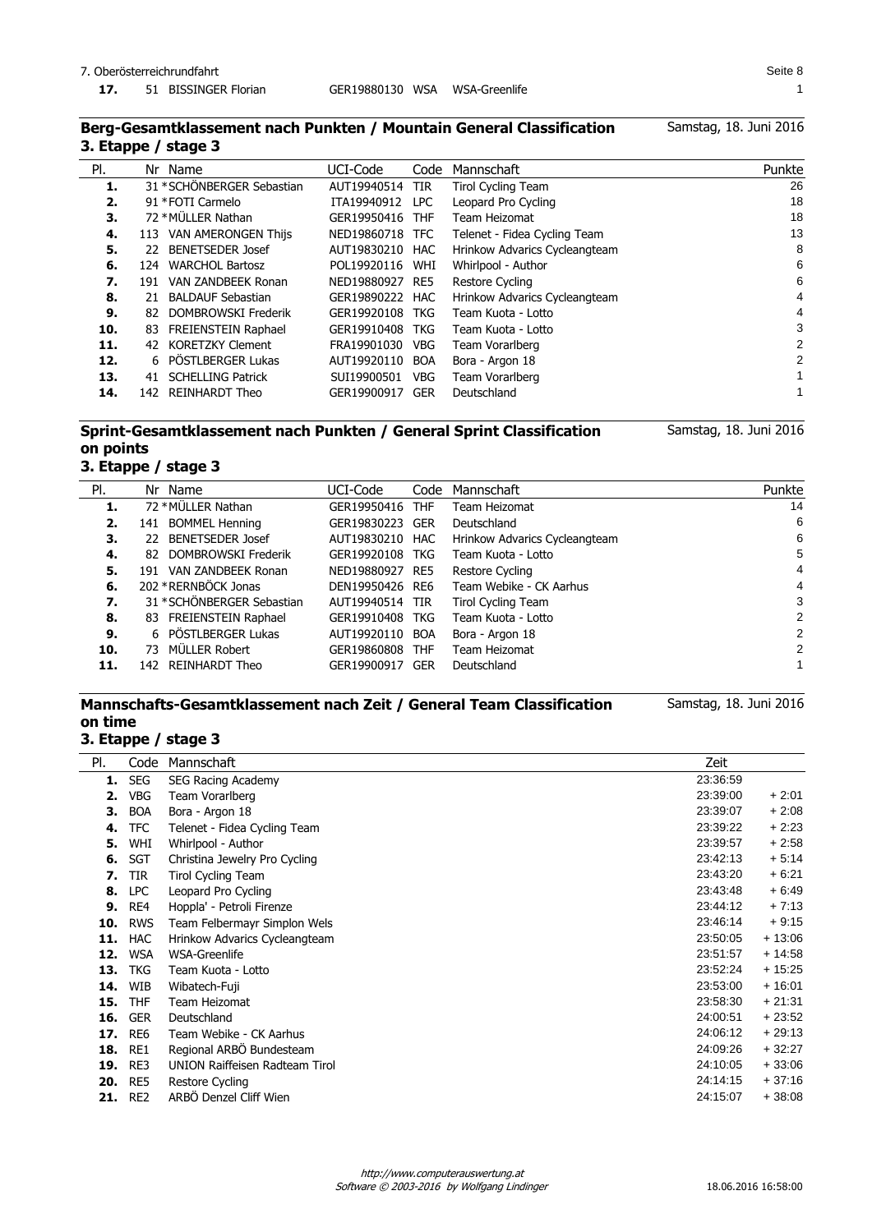Samstag, 18. Juni 2016

### **Berg-Gesamtklassement nach Punkten / Mountain General Classification 3. Etappe / stage 3**

| PI. |      | Nr Name                    | UCI-Code        | Code       | Mannschaft                    | Punkte       |
|-----|------|----------------------------|-----------------|------------|-------------------------------|--------------|
| 1.  |      | 31 * SCHÖNBERGER Sebastian | AUT19940514     | <b>TIR</b> | <b>Tirol Cycling Team</b>     | 26           |
| 2.  |      | 91 * FOTI Carmelo          | ITA19940912     | LPC.       | Leopard Pro Cycling           | 18           |
| 3.  |      | 72 * MÜLLER Nathan         | GER19950416     | <b>THF</b> | Team Heizomat                 | 18           |
| 4.  | 113  | VAN AMERONGEN Thijs        | NED19860718 TFC |            | Telenet - Fidea Cycling Team  | 13           |
| 5.  | 22.  | <b>BENETSEDER Josef</b>    | AUT19830210 HAC |            | Hrinkow Advarics Cycleangteam | 8            |
| 6.  | 124. | <b>WARCHOL Bartosz</b>     | POL19920116     | WHI        | Whirlpool - Author            | 6            |
| 7.  | 191  | VAN ZANDBEEK Ronan         | NED19880927     | RE5        | Restore Cycling               | 6            |
| 8.  | 21   | <b>BALDAUF Sebastian</b>   | GER19890222 HAC |            | Hrinkow Advarics Cycleangteam | 4            |
| 9.  | 82.  | DOMBROWSKI Frederik        | GER19920108     | TKG        | Team Kuota - Lotto            | 4            |
| 10. | 83   | FREIENSTEIN Raphael        | GER19910408     | TKG        | Team Kuota - Lotto            | 3            |
| 11. | 42.  | KORETZKY Clement           | FRA19901030     | <b>VBG</b> | Team Vorarlberg               | 2            |
| 12. |      | 6 PÖSTLBERGER Lukas        | AUT19920110     | <b>BOA</b> | Bora - Argon 18               | 2            |
| 13. | 41   | <b>SCHELLING Patrick</b>   | SUI19900501     | <b>VBG</b> | Team Vorarlberg               | $\mathbf{1}$ |
| 14. | 142. | <b>REINHARDT Theo</b>      | GER19900917     | <b>GER</b> | Deutschland                   |              |

## **Sprint-Gesamtklassement nach Punkten / General Sprint Classification on points**

**3. Etappe / stage 3**

| PI. | Nr Name                        | UCI-Code        | Code | Mannschaft                    | Punkte |
|-----|--------------------------------|-----------------|------|-------------------------------|--------|
| 1.  | 72 * MÜLLER Nathan             | GER19950416 THF |      | Team Heizomat                 | 14     |
| 2.  | <b>BOMMEL Henning</b><br>141   | GER19830223 GER |      | Deutschland                   | 6      |
| З.  | <b>BENETSEDER Josef</b><br>22. | AUT19830210 HAC |      | Hrinkow Advarics Cycleangteam | 6      |
| 4.  | DOMBROWSKI Frederik<br>82.     | GER19920108 TKG |      | Team Kuota - Lotto            | 5      |
| 5.  | VAN ZANDBEEK Ronan<br>191      | NED19880927 RE5 |      | Restore Cycling               | 4      |
| 6.  | 202 * RERNBÖCK Jonas           | DEN19950426 RE6 |      | Team Webike - CK Aarhus       | 4      |
| 7.  | 31 * SCHÖNBERGER Sebastian     | AUT19940514 TIR |      | Tirol Cycling Team            | 3      |
| 8.  | 83 FREIENSTEIN Raphael         | GER19910408 TKG |      | Team Kuota - Lotto            | 2      |
| 9.  | 6 PÖSTLBERGER Lukas            | AUT19920110 BOA |      | Bora - Argon 18               | 2      |
| 10. | MÜLLER Robert<br>73            | GER19860808 THF |      | Team Heizomat                 | 2      |
| 11. | 142 REINHARDT Theo             | GER19900917 GER |      | Deutschland                   |        |

## **Mannschafts-Gesamtklassement nach Zeit / General Team Classification on time**

Samstag, 18. Juni 2016

Samstag, 18. Juni 2016

# **3. Etappe / stage 3**

| PI. | Code            | Mannschaft                            | Zeit     |          |
|-----|-----------------|---------------------------------------|----------|----------|
| 1.  | <b>SEG</b>      | SEG Racing Academy                    | 23:36:59 |          |
| 2.  | <b>VBG</b>      | Team Vorarlberg                       | 23:39:00 | $+2:01$  |
| з.  | <b>BOA</b>      | Bora - Argon 18                       | 23:39:07 | $+2:08$  |
| 4.  | <b>TFC</b>      | Telenet - Fidea Cycling Team          | 23:39:22 | $+2:23$  |
| 5.  | WHI             | Whirlpool - Author                    | 23:39:57 | $+2:58$  |
| 6.  | <b>SGT</b>      | Christina Jewelry Pro Cycling         | 23:42:13 | $+5.14$  |
| 7.  | TIR             | <b>Tirol Cycling Team</b>             | 23:43:20 | $+6:21$  |
| 8.  | <b>LPC</b>      | Leopard Pro Cycling                   | 23:43:48 | $+6.49$  |
| 9.  | RE4             | Hoppla' - Petroli Firenze             | 23:44:12 | $+7:13$  |
| 10. | <b>RWS</b>      | Team Felbermayr Simplon Wels          | 23:46:14 | $+9:15$  |
| 11. | <b>HAC</b>      | Hrinkow Advarics Cycleangteam         | 23:50:05 | $+13:06$ |
| 12. | <b>WSA</b>      | WSA-Greenlife                         | 23:51:57 | $+14:58$ |
| 13. | <b>TKG</b>      | Team Kuota - Lotto                    | 23:52:24 | $+15:25$ |
| 14. | WIB             | Wibatech-Fuji                         | 23:53:00 | $+16:01$ |
| 15. | <b>THF</b>      | Team Heizomat                         | 23:58:30 | $+21:31$ |
| 16. | <b>GER</b>      | Deutschland                           | 24:00:51 | $+23:52$ |
| 17. | RE <sub>6</sub> | Team Webike - CK Aarhus               | 24:06:12 | $+29:13$ |
| 18. | RE1             | Regional ARBO Bundesteam              | 24:09:26 | $+32:27$ |
| 19. | RE3             | <b>UNION Raiffeisen Radteam Tirol</b> | 24:10:05 | $+33:06$ |
| 20. | RE5             | Restore Cycling                       | 24:14:15 | $+37:16$ |
| 21. | RE <sub>2</sub> | ARBÖ Denzel Cliff Wien                | 24:15:07 | $+38:08$ |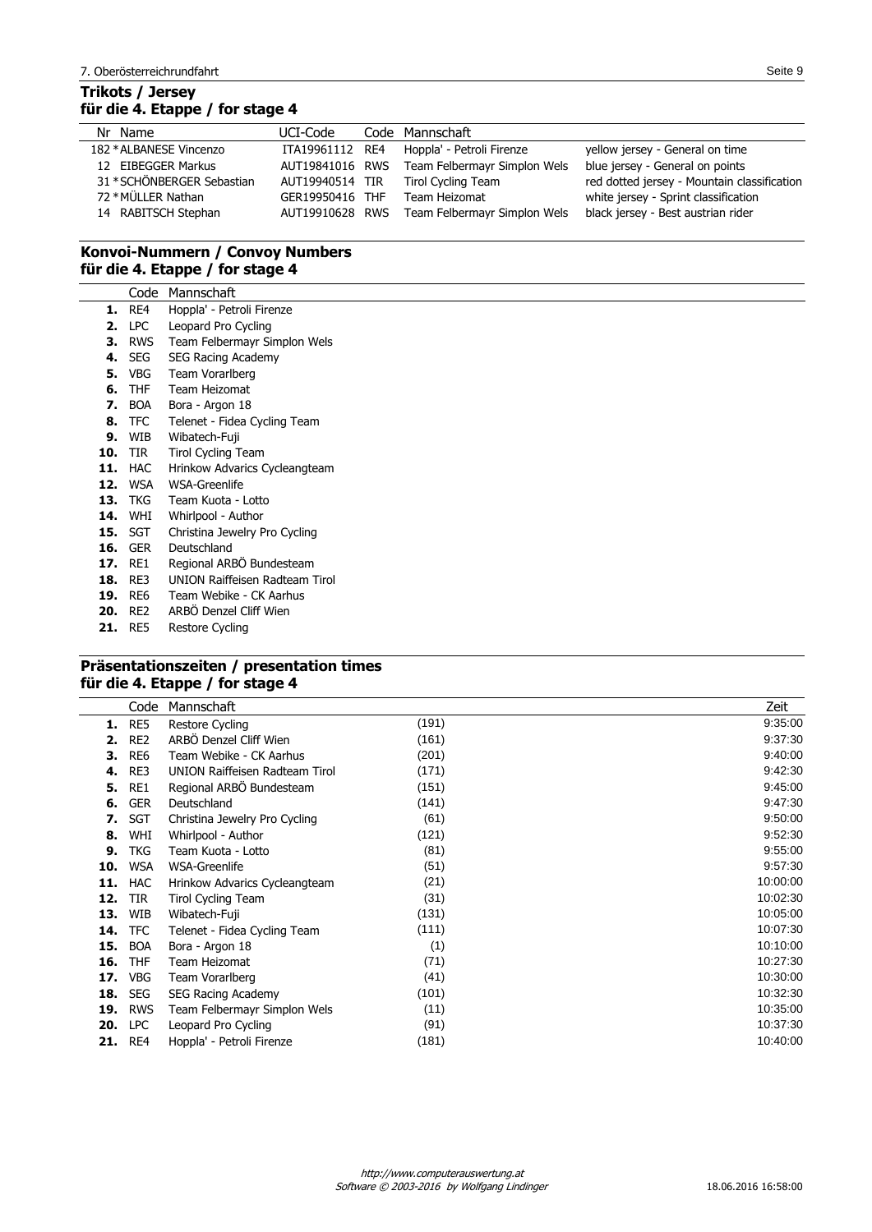## **Trikots / Jersey für die 4. Etappe / for stage 4**

| UCI-Code |                                                                                             |                                                                                                                                    |
|----------|---------------------------------------------------------------------------------------------|------------------------------------------------------------------------------------------------------------------------------------|
|          |                                                                                             | yellow jersey - General on time                                                                                                    |
|          |                                                                                             | blue jersey - General on points                                                                                                    |
|          |                                                                                             | red dotted jersey - Mountain classification                                                                                        |
|          | Team Heizomat                                                                               | white jersey - Sprint classification                                                                                               |
|          |                                                                                             | black jersey - Best austrian rider                                                                                                 |
|          | ITA19961112 RE4<br>AUT19841016 RWS<br>AUT19940514 TIR<br>GER19950416 THF<br>AUT19910628 RWS | Code Mannschaft<br>Hoppla' - Petroli Firenze<br>Team Felbermayr Simplon Wels<br>Tirol Cycling Team<br>Team Felbermayr Simplon Wels |

## **Konvoi-Nummern / Convoy Numbers für die 4. Etappe / for stage 4**

|     | Code           | Mannschaft                            |
|-----|----------------|---------------------------------------|
| 1.  | RE4            | Hoppla' - Petroli Firenze             |
| 2.  | <b>LPC</b>     | Leopard Pro Cycling                   |
| 3.  | RWS            | Team Felbermayr Simplon Wels          |
|     | <b>4. SEG</b>  | <b>SEG Racing Academy</b>             |
| 5.  | VBG            | Team Vorarlberg                       |
| 6.  | THF            | Team Heizomat                         |
| 7.  | <b>BOA</b>     | Bora - Argon 18                       |
|     | 8. TFC         | Telenet - Fidea Cycling Team          |
| 9.  | WIB            | Wibatech-Fuji                         |
|     | <b>10. TIR</b> | <b>Tirol Cycling Team</b>             |
|     | 11. HAC        | Hrinkow Advarics Cycleangteam         |
|     | 12. WSA        | WSA-Greenlife                         |
|     | 13. TKG        | Team Kuota - Lotto                    |
|     | 14. WHI        | Whirlpool - Author                    |
|     | <b>15.</b> SGT | Christina Jewelry Pro Cycling         |
| 16. | <b>GER</b>     | Deutschland                           |
| 17. | RE1            | Regional ARBÖ Bundesteam              |
| 18. | RE3            | <b>UNION Raiffeisen Radteam Tirol</b> |
| 19. | RE6            | Team Webike - CK Aarhus               |
| 20. | RE2            | ARBÖ Denzel Cliff Wien                |
| 21. | RE5            | Restore Cycling                       |

## **Präsentationszeiten / presentation times für die 4. Etappe / for stage 4**

 $\overline{a}$ 

|     | Code            | Mannschaft                            |       | Zeit     |
|-----|-----------------|---------------------------------------|-------|----------|
| 1.  | RE5             | Restore Cycling                       | (191) | 9:35:00  |
| 2.  | RE <sub>2</sub> | ARBÖ Denzel Cliff Wien                | (161) | 9:37:30  |
| з.  | RE <sub>6</sub> | Team Webike - CK Aarhus               | (201) | 9:40:00  |
| 4.  | RE3             | <b>UNION Raiffeisen Radteam Tirol</b> | (171) | 9:42:30  |
| 5.  | RE1             | Regional ARBO Bundesteam              | (151) | 9:45:00  |
| 6.  | <b>GER</b>      | Deutschland                           | (141) | 9:47:30  |
| 7.  | <b>SGT</b>      | Christina Jewelry Pro Cycling         | (61)  | 9:50:00  |
| 8.  | WHI             | Whirlpool - Author                    | (121) | 9:52:30  |
| 9.  | <b>TKG</b>      | Team Kuota - Lotto                    | (81)  | 9:55:00  |
| 10. | <b>WSA</b>      | WSA-Greenlife                         | (51)  | 9:57:30  |
| 11. | <b>HAC</b>      | Hrinkow Advarics Cycleangteam         | (21)  | 10:00:00 |
| 12. | <b>TIR</b>      | Tirol Cycling Team                    | (31)  | 10:02:30 |
| 13. | WIB             | Wibatech-Fuji                         | (131) | 10:05:00 |
| 14. | <b>TFC</b>      | Telenet - Fidea Cycling Team          | (111) | 10:07:30 |
| 15. | <b>BOA</b>      | Bora - Argon 18                       | (1)   | 10:10:00 |
| 16. | <b>THF</b>      | Team Heizomat                         | (71)  | 10:27:30 |
| 17. | <b>VBG</b>      | Team Vorarlberg                       | (41)  | 10:30:00 |
| 18. | <b>SEG</b>      | <b>SEG Racing Academy</b>             | (101) | 10:32:30 |
| 19. | <b>RWS</b>      | Team Felbermayr Simplon Wels          | (11)  | 10:35:00 |
| 20. | <b>LPC</b>      | Leopard Pro Cycling                   | (91)  | 10:37:30 |
|     | <b>21. RE4</b>  | Hoppla' - Petroli Firenze             | (181) | 10:40:00 |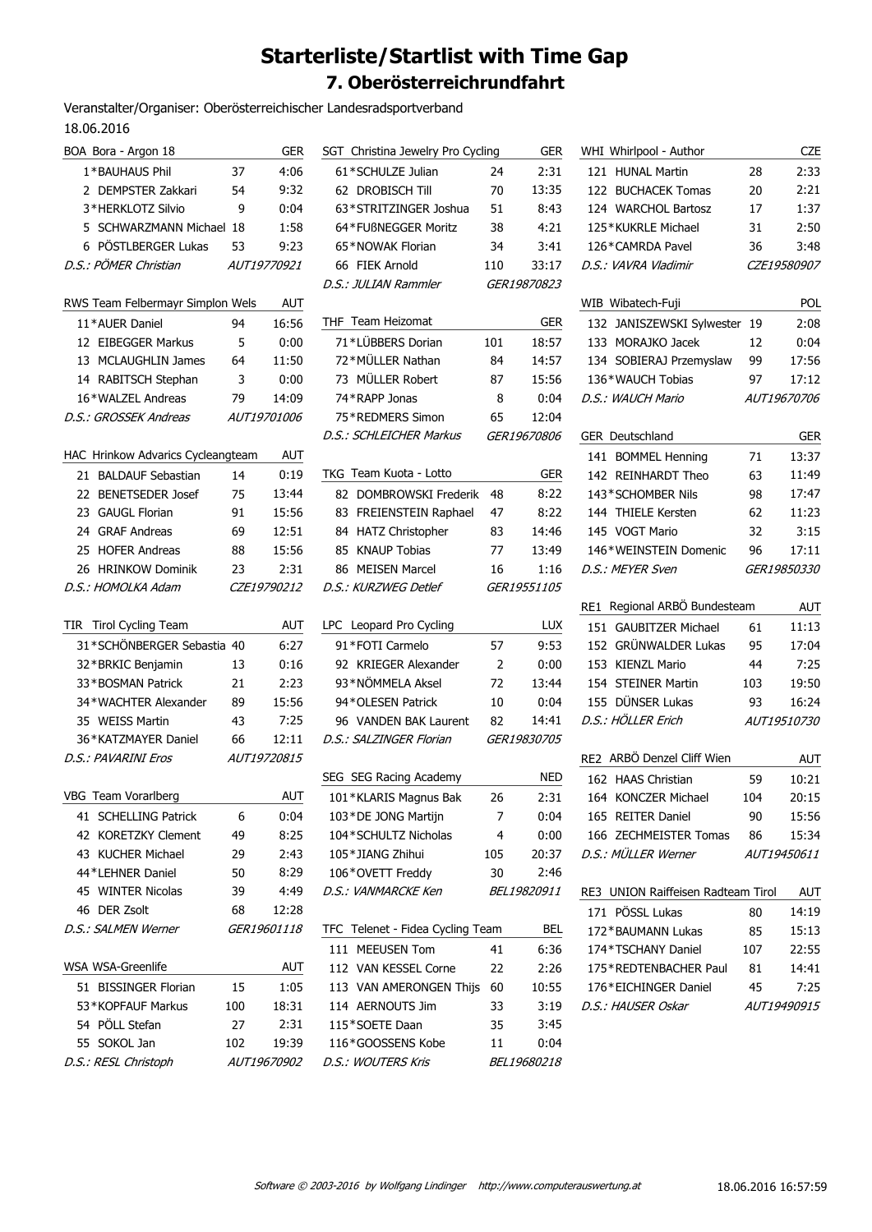# **Starterliste/Startlist with Time Gap 7. Oberösterreichrundfahrt**

Veranstalter/Organiser: Oberösterreichischer Landesradsportverband 18.06.2016

| BOA Bora - Argon 18                    |     | <b>GER</b>         | S                     |
|----------------------------------------|-----|--------------------|-----------------------|
| 1*BAUHAUS Phil                         | 37  | 4:06               |                       |
| 2 DEMPSTER Zakkari                     | 54  | 9:32               |                       |
| 3*HERKLOTZ Silvio                      | 9   | 0:04               |                       |
| 5 SCHWARZMANN Michael 18               |     | 1:58               |                       |
| 6 PÖSTLBERGER Lukas                    | 53  | 9:23               |                       |
| D.S.: PÖMER Christian                  |     | AUT19770921        |                       |
|                                        |     |                    | D                     |
| RWS Team Felbermayr Simplon Wels       |     | AUT                |                       |
| 11*AUER Daniel                         | 94  | 16:56              | Τ                     |
| 12 EIBEGGER Markus                     | 5   | 0:00               |                       |
| 13 MCLAUGHLIN James                    | 64  | 11:50              |                       |
| 14 RABITSCH Stephan                    | 3   | 0:00               |                       |
| 16*WALZEL Andreas                      | 79  | 14:09              |                       |
| D.S.: GROSSEK Andreas                  |     | AUT19701006        |                       |
|                                        |     |                    | D                     |
| HAC Hrinkow Advarics Cycleangteam      |     | AUT                |                       |
| 21 BALDAUF Sebastian                   | 14  | 0:19               | т                     |
| 22 BENETSEDER Josef                    | 75  | 13:44              |                       |
| 23 GAUGL Florian                       | 91  | 15:56              |                       |
| 24 GRAF Andreas                        | 69  | 12:51              |                       |
| 25 HOFER Andreas                       | 88  | 15:56              |                       |
| 26 HRINKOW Dominik                     | 23  | 2:31               |                       |
| D.S.: HOMOLKA Adam                     |     | CZE19790212        | D                     |
|                                        |     |                    |                       |
|                                        |     |                    |                       |
| TIR Tirol Cycling Team                 |     | <b>AUT</b>         |                       |
| 31*SCHÖNBERGER Sebastia 40             |     | 6:27               |                       |
|                                        | 13  | 0:16               |                       |
| 32*BRKIC Benjamin<br>33*BOSMAN Patrick | 21  | 2:23               |                       |
| 34*WACHTER Alexander                   | 89  | 15:56              |                       |
| 35 WEISS Martin                        | 43  | 7:25               |                       |
| 36*KATZMAYER Daniel                    | 66  | 12:11              |                       |
|                                        |     | AUT19720815        |                       |
| D.S.: PAVARINI Eros                    |     |                    |                       |
| VBG Team Vorarlberg                    |     | <b>AUT</b>         |                       |
| 41 SCHELLING Patrick                   | 6   | 0:04               |                       |
| 42 KORETZKY Clement                    | 49  | 8:25               |                       |
| 43 KUCHER Michael                      | 29  | 2:43               |                       |
| 44*LEHNER Daniel                       | 50  | 8:29               |                       |
| 45 WINTER Nicolas                      | 39  | 4:49               |                       |
| 46 DER Zsolt                           | 68  | 12:28              |                       |
| D.S.: SALMEN Werner                    |     | <i>GER19601118</i> |                       |
|                                        |     |                    |                       |
| WSA WSA-Greenlife                      |     | AUT                |                       |
| 51 BISSINGER Florian                   | 15  | 1:05               |                       |
| 53*KOPFAUF Markus                      | 100 | 18:31              |                       |
| 54 PÖLL Stefan                         | 27  | 2:31               | Ц<br>D<br>S<br>L<br>Т |
| 55 SOKOL Jan                           | 102 | 19:39              |                       |

| SGT Christina Jewelry Pro Cycling |     | <b>GER</b>         |
|-----------------------------------|-----|--------------------|
| 61*SCHULZE Julian                 | 24  | 2:31               |
| 62 DROBISCH Till                  | 70  | 13:35              |
| 63*STRITZINGER Joshua             | 51  | 8:43               |
| 64*FUßNEGGER Moritz               | 38  | 4:21               |
| 65*NOWAK Florian                  | 34  | 3:41               |
| 66 FIEK Arnold                    | 110 | 33:17              |
| D.S.: JULIAN Rammler              |     | GER19870823        |
| THF Team Heizomat                 |     | GER                |
| 71*LÜBBERS Dorian                 | 101 | 18:57              |
| 72*MÜLLER Nathan                  | 84  | 14:57              |
| 73 MÜLLER Robert                  | 87  | 15:56              |
| 74*RAPP Jonas                     | 8   | 0:04               |
| 75*REDMERS Simon                  | 65  | 12:04              |
| D.S.: SCHLEICHER Markus           |     | <i>GER19670806</i> |
| TKG Team Kuota - Lotto            |     | <b>GER</b>         |
| 82 DOMBROWSKI Frederik            | 48  | 8:22               |
| 83 FREIENSTEIN Raphael            | 47  | 8:22               |
| 84 HATZ Christopher               | 83  | 14:46              |
| 85 KNAUP Tobias                   | 77  | 13:49              |
| 86 MEISEN Marcel                  | 16  | 1:16               |
| D.S.: KURZWEG Detlef              |     | <i>GER19551105</i> |
|                                   |     | LUX                |
| LPC Leopard Pro Cycling           |     |                    |
| 91*FOTI Carmelo                   | 57  | 9:53               |
| 92 KRIEGER Alexander              | 2   | 0:00               |
| 93*NÖMMELA Aksel                  | 72  | 13:44              |
| 94*OLESEN Patrick                 | 10  | 0:04               |
| 96 VANDEN BAK Laurent             | 82  | 14:41              |
| D.S.: SALZINGER Florian           |     | <i>GER19830705</i> |
| SEG SEG Racing Academy            |     | <b>NED</b>         |
| 101*KLARIS Magnus Bak             | 26  | 2:31               |
| 103*DE JONG Martijn               | 7   | 0:04               |
| 104*SCHULTZ Nicholas              | 4   | 0:00               |
| 105*JIANG Zhihui                  | 105 | 20:37              |
| 106*OVETT Freddy                  | 30  | 2:46               |
| D.S.: VANMARCKE Ken               |     | <i>BEL19820911</i> |
| TFC Telenet - Fidea Cycling Team  |     | BEL                |
| 111 MEEUSEN Tom                   | 41  | 6:36               |
| 112 VAN KESSEL Corne              | 22  | 2:26               |
| 113 VAN AMERONGEN Thijs 60        |     | 10:55              |
| 114 AERNOUTS Jim                  | 33  | 3:19               |
| 115*SOETE Daan                    | 35  | 3:45               |
| 116*GOOSSENS Kobe                 | 11  | 0:04               |
| D.S.: WOUTERS Kris                |     | BEL19680218        |
|                                   |     |                    |

| WHI Whirlpool - Author             |     | <b>CZE</b>         |
|------------------------------------|-----|--------------------|
| 121 HUNAL Martin                   | 28  | 2:33               |
| 122 BUCHACEK Tomas                 | 20  | 2:21               |
| 124 WARCHOL Bartosz                | 17  | 1:37               |
| 125*KUKRLE Michael                 | 31  | 2:50               |
| 126*CAMRDA Pavel                   | 36  | 3:48               |
| D.S.: VAVRA Vladimir               |     | <i>CZE19580907</i> |
|                                    |     |                    |
| WIB Wibatech-Fuji                  |     | POL                |
| 132 JANISZEWSKI Sylwester          | 19  | 2:08               |
| 133 MORAJKO Jacek                  | 12  | 0:04               |
| 134 SOBIERAJ Przemyslaw            | 99  | 17:56              |
| 136*WAUCH Tobias                   | 97  | 17:12              |
| D.S.: WAUCH Mario                  |     | AUT19670706        |
|                                    |     |                    |
| <b>GER</b> Deutschland             |     | GER                |
| 141 BOMMEL Henning                 | 71  | 13:37              |
| 142 REINHARDT Theo                 | 63  | 11:49              |
| 143*SCHOMBER Nils                  | 98  | 17:47              |
| 144 THIELE Kersten                 | 62  | 11:23              |
| 145 VOGT Mario                     | 32  | 3:15               |
| 146*WEINSTEIN Domenic              | 96  | 17:11              |
| D.S.: MEYER Sven                   |     | <i>GER19850330</i> |
|                                    |     |                    |
| Regional ARBÖ Bundesteam<br>RE1    |     | <b>AUT</b>         |
| 151 GAUBITZER Michael              | 61  | 11:13              |
| 152 GRÜNWALDER Lukas               | 95  | 17:04              |
| 153 KIENZL Mario                   | 44  | 7:25               |
| 154 STEINER Martin                 | 103 | 19:50              |
| 155 DÜNSER Lukas                   | 93  | 16:24              |
| D.S.: HÖLLER Erich                 |     | <i>AUT19510730</i> |
| RE2 ARBÖ Denzel Cliff Wien         |     | AUT                |
| 162 HAAS Christian                 | 59  | 10:21              |
| 164 KONCZER Michael                | 104 | 20:15              |
| 165 REITER Daniel                  | 90  | 15:56              |
| 166 ZECHMEISTER Tomas              | 86  | 15:34              |
| D.S.: MÜLLER Werner                |     | <i>AUT19450611</i> |
|                                    |     |                    |
| RE3 UNION Raiffeisen Radteam Tirol |     | AUT                |
| 171 PÖSSL Lukas                    | 80  | 14:19              |
| 172*BAUMANN Lukas                  | 85  | 15:13              |
| 174*TSCHANY Daniel                 | 107 | 22:55              |
| 175*REDTENBACHER Paul              | 81  | 14:41              |
| 176*EICHINGER Daniel               | 45  | 7:25               |
| D.S.: HAUSER Oskar                 |     | AUT19490915        |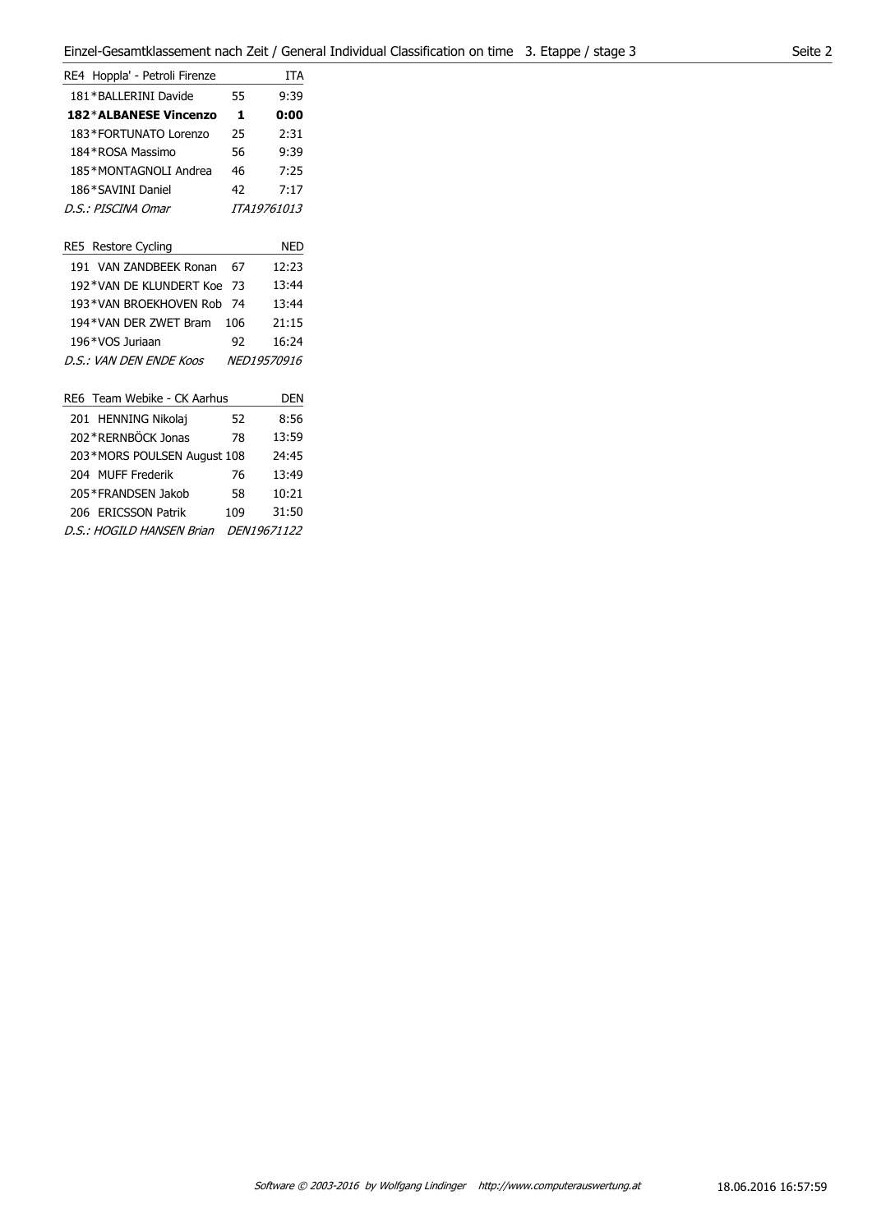| RE4 Hoppla' - Petroli Firenze |    | TTA         |
|-------------------------------|----|-------------|
| 181 * BALLERINI Davide        | 55 | 9:39        |
| 182*ALBANESE Vincenzo         | 1  | 0:00        |
| 183*FORTUNATO Lorenzo         | 25 | 2:31        |
| 184 * ROSA Massimo            | 56 | 9:39        |
| 185*MONTAGNOLI Andrea         | 46 | 7:25        |
| 186*SAVINI Daniel             | 42 | 7:17        |
| D.S.: PISCINA Omar            |    | ITA19761013 |
|                               |    |             |

| RE5 Restore Cycling         |     | <b>NED</b>         |
|-----------------------------|-----|--------------------|
| 191 VAN ZANDBEEK Ronan      | 67  | 12:23              |
| 192*VAN DE KILINDERT Koe 73 |     | 13:44              |
| 193*VAN BROEKHOVEN Rob      | -74 | 13:44              |
| 194*VAN DFR 7WFT Bram       | 106 | 21:15              |
| 196*VOS Juriaan             | 92  | 16:24              |
| D.S.: VAN DEN ENDE Koos     |     | <i>NED19570916</i> |
|                             |     |                    |
| RE6 Team Webike - CK Aarhus |     | DEN                |
| 201 HENNING Nikolai         | 52  | 8:56               |

| ZUI FIENNING NIKOIAI        | $\mathcal{L}$ | റാറ         |
|-----------------------------|---------------|-------------|
| 202*RERNBÖCK Jonas          | 78            | 13:59       |
| 203*MORS POULSEN August 108 |               | 24:45       |
| 204 MUFF Frederik           | 76            | 13:49       |
| 205 * FRANDSEN Jakob        | 58            | 10:21       |
| 206 ERICSSON Patrik         | 109           | 31:50       |
| D.S.: HOGILD HANSEN Brian   |               | DEN19671122 |
|                             |               |             |